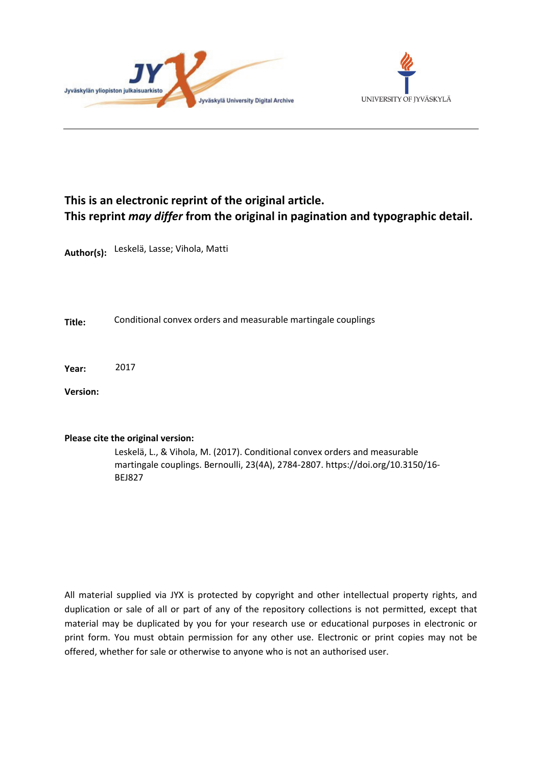



## **This is an electronic reprint of the original article. This reprint** *may differ* **from the original in pagination and typographic detail.**

**Author(s):**  Leskelä, Lasse; Vihola, Matti

**Title:** Conditional convex orders and measurable martingale couplings

**Year:**  2017

**Version:**

## **Please cite the original version:**

Leskelä, L., & Vihola, M. (2017). Conditional convex orders and measurable martingale couplings. Bernoulli, 23(4A), 2784-2807. https://doi.org/10.3150/16- BEJ827

All material supplied via JYX is protected by copyright and other intellectual property rights, and duplication or sale of all or part of any of the repository collections is not permitted, except that material may be duplicated by you for your research use or educational purposes in electronic or print form. You must obtain permission for any other use. Electronic or print copies may not be offered, whether for sale or otherwise to anyone who is not an authorised user.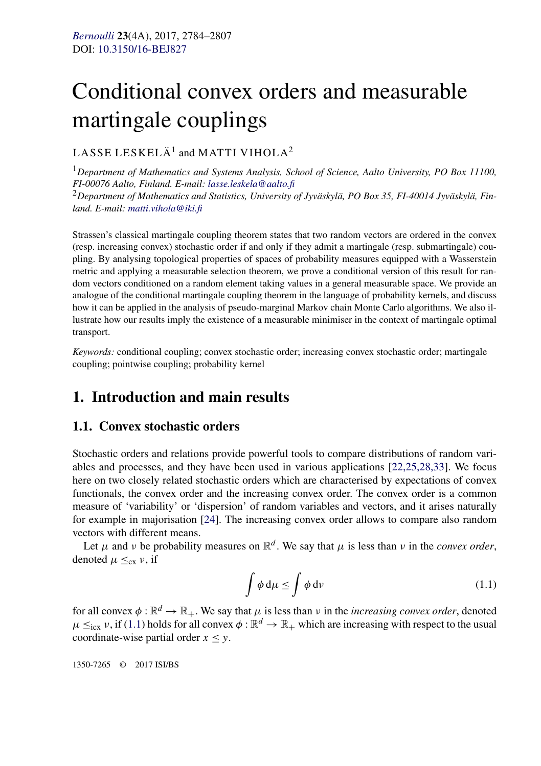# <span id="page-1-0"></span>Conditional convex orders and measurable martingale couplings

#### LASSE LESKELÄ<sup>1</sup> and MATTI VIHOLA<sup>2</sup>

<sup>1</sup>*Department of Mathematics and Systems Analysis, School of Science, Aalto University, PO Box 11100, FI-00076 Aalto, Finland. E-mail: [lasse.leskela@aalto.fi](mailto:lasse.leskela@aalto.fi)* <sup>2</sup>*Department of Mathematics and Statistics, University of Jyväskylä, PO Box 35, FI-40014 Jyväskylä, Finland. E-mail: [matti.vihola@iki.fi](mailto:matti.vihola@iki.fi)*

Strassen's classical martingale coupling theorem states that two random vectors are ordered in the convex (resp. increasing convex) stochastic order if and only if they admit a martingale (resp. submartingale) coupling. By analysing topological properties of spaces of probability measures equipped with a Wasserstein metric and applying a measurable selection theorem, we prove a conditional version of this result for random vectors conditioned on a random element taking values in a general measurable space. We provide an analogue of the conditional martingale coupling theorem in the language of probability kernels, and discuss how it can be applied in the analysis of pseudo-marginal Markov chain Monte Carlo algorithms. We also illustrate how our results imply the existence of a measurable minimiser in the context of martingale optimal transport.

*Keywords:* conditional coupling; convex stochastic order; increasing convex stochastic order; martingale coupling; pointwise coupling; probability kernel

## **1. Introduction and main results**

#### **1.1. Convex stochastic orders**

Stochastic orders and relations provide powerful tools to compare distributions of random variables and processes, and they have been used in various applications [\[22,25,28,33\]](#page-23-0). We focus here on two closely related stochastic orders which are characterised by expectations of convex functionals, the convex order and the increasing convex order. The convex order is a common measure of 'variability' or 'dispersion' of random variables and vectors, and it arises naturally for example in majorisation [\[24\]](#page-23-0). The increasing convex order allows to compare also random vectors with different means.

Let  $\mu$  and  $\nu$  be probability measures on  $\mathbb{R}^d$ . We say that  $\mu$  is less than  $\nu$  in the *convex order*, denoted  $\mu \leq_{cx} \nu$ , if

$$
\int \phi \, \mathrm{d}\mu \le \int \phi \, \mathrm{d}\nu \tag{1.1}
$$

for all convex  $\phi : \mathbb{R}^d \to \mathbb{R}_+$ . We say that  $\mu$  is less than  $\nu$  in the *increasing convex order*, denoted  $\mu \leq_{\text{icx}} \nu$ , if (1.1) holds for all convex  $\phi : \mathbb{R}^d \to \mathbb{R}_+$  which are increasing with respect to the usual coordinate-wise partial order  $x \leq y$ .

1350-7265 © 2017 ISI/BS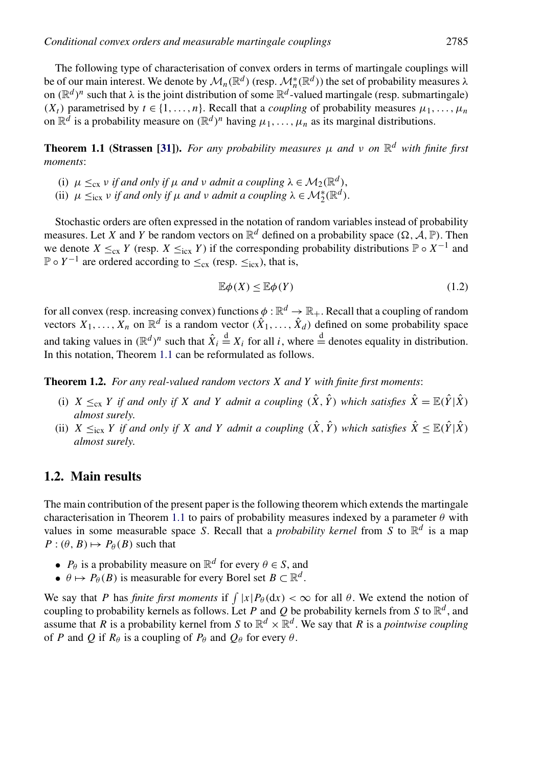<span id="page-2-0"></span>The following type of characterisation of convex orders in terms of martingale couplings will be of our main interest. We denote by  $\mathcal{M}_n(\mathbb{R}^d)$  (resp.  $\mathcal{M}_n^*(\mathbb{R}^d)$ ) the set of probability measures  $\lambda$ on  $(\mathbb{R}^d)^n$  such that  $\lambda$  is the joint distribution of some  $\mathbb{R}^d$ -valued martingale (resp. submartingale)  $(X_t)$  parametrised by  $t \in \{1, \ldots, n\}$ . Recall that a *coupling* of probability measures  $\mu_1, \ldots, \mu_n$ on  $\mathbb{R}^d$  is a probability measure on  $(\mathbb{R}^d)^n$  having  $\mu_1, \ldots, \mu_n$  as its marginal distributions.

**Theorem 1.1 (Strassen [\[31\]](#page-23-0)).** For any probability measures  $\mu$  and  $\nu$  on  $\mathbb{R}^d$  with finite first *moments*:

- (i)  $\mu \leq_{cx} v$  *if and only if*  $\mu$  *and*  $v$  *admit a coupling*  $\lambda \in M_2(\mathbb{R}^d)$ ,
- (ii)  $\mu \leq_{\text{icx}} \nu \text{ if and only if } \mu \text{ and } \nu \text{ admit a coupling } \lambda \in \mathcal{M}_2^*(\mathbb{R}^d).$

Stochastic orders are often expressed in the notation of random variables instead of probability measures. Let *X* and *Y* be random vectors on  $\mathbb{R}^d$  defined on a probability space  $(\Omega, \mathcal{A}, \mathbb{P})$ . Then we denote  $X \leq_{cx} Y$  (resp.  $X \leq_{icx} Y$ ) if the corresponding probability distributions  $\mathbb{P} \circ X^{-1}$  and  $\mathbb{P} \circ Y^{-1}$  are ordered according to  $\leq_{\text{cx}}$  (resp.  $\leq_{\text{icx}}$ ), that is,

$$
\mathbb{E}\phi(X) \le \mathbb{E}\phi(Y) \tag{1.2}
$$

for all convex (resp. increasing convex) functions  $\phi : \mathbb{R}^d \to \mathbb{R}_+$ . Recall that a coupling of random vectors  $X_1, \ldots, X_n$  on  $\mathbb{R}^d$  is a random vector  $(\hat{X}_1, \ldots, \hat{X}_d)$  defined on some probability space and taking values in  $(\mathbb{R}^d)^n$  such that  $\hat{X}_i \stackrel{d}{=} X_i$  for all *i*, where  $\stackrel{d}{=}$  denotes equality in distribution. In this notation, Theorem 1.1 can be reformulated as follows.

**Theorem 1.2.** *For any real-valued random vectors X and Y with finite first moments*:

- (i)  $X \leq_{\text{cx}} Y$  *if and only if X and Y admit a coupling*  $(\hat{X}, \hat{Y})$  *which satisfies*  $\hat{X} = \mathbb{E}(\hat{Y}|\hat{X})$ *almost surely*.
- (ii)  $X \leq_{\text{icx}} Y$  *if and only if X and Y admit a coupling*  $(\hat{X}, \hat{Y})$  *which satisfies*  $\hat{X} \leq \mathbb{E}(\hat{Y}|\hat{X})$ *almost surely*.

#### **1.2. Main results**

The main contribution of the present paper is the following theorem which extends the martingale characterisation in Theorem 1.1 to pairs of probability measures indexed by a parameter  $\theta$  with values in some measurable space *S*. Recall that a *probability kernel* from *S* to  $\mathbb{R}^d$  is a map  $P: (\theta, B) \mapsto P_{\theta}(B)$  such that

- *P*<sup> $\theta$ </sup> is a probability measure on  $\mathbb{R}^d$  for every  $\theta \in S$ , and
- $\theta \mapsto P_{\theta}(B)$  is measurable for every Borel set  $B \subset \mathbb{R}^d$ .

We say that *P* has *finite first moments* if  $\int |x| P_{\theta} (dx) < \infty$  for all  $\theta$ . We extend the notion of coupling to probability kernels as follows. Let *P* and *Q* be probability kernels from *S* to  $\mathbb{R}^d$ , and assume that *R* is a probability kernel from *S* to  $\mathbb{R}^d \times \mathbb{R}^d$ . We say that *R* is a *pointwise coupling* of *P* and *Q* if  $R_\theta$  is a coupling of  $P_\theta$  and  $Q_\theta$  for every  $\theta$ .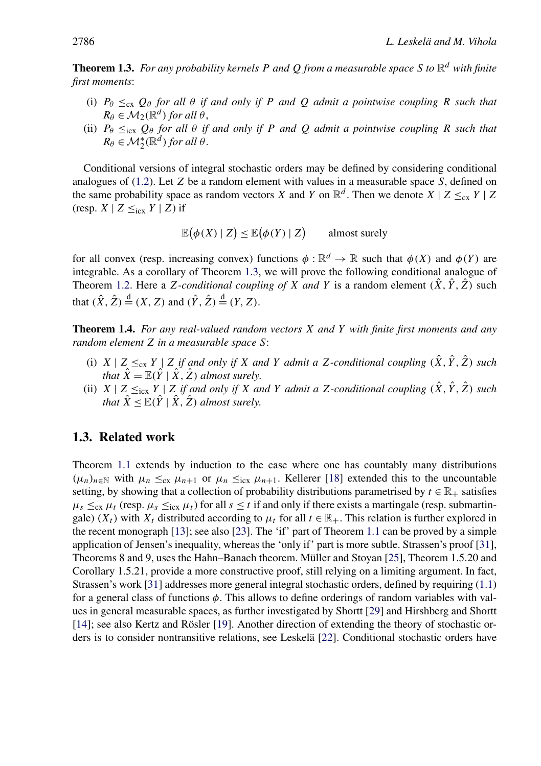<span id="page-3-0"></span>**Theorem 1.3.** *For any probability kernels P and*  $Q$  *from a measurable space*  $S$  *to*  $\mathbb{R}^d$  *with finite first moments*:

- (i)  $P_{\theta} \leq_{\text{cx}} Q_{\theta}$  *for all*  $\theta$  *if and only if P and Q admit a pointwise coupling R such that*  $R_{\theta} \in M_{2}(\mathbb{R}^{d})$  *for all*  $\theta$ ,
- (ii)  $P_{\theta} \leq_{\text{icx}} Q_{\theta}$  *for all*  $\theta$  *if and only if P and Q admit a pointwise coupling R such that*  $R_{\theta} \in \mathcal{M}_{2}^{*}(\mathbb{R}^{d})$  *for all*  $\theta$ .

Conditional versions of integral stochastic orders may be defined by considering conditional analogues of [\(1.2\)](#page-2-0). Let *Z* be a random element with values in a measurable space *S*, defined on the same probability space as random vectors *X* and *Y* on  $\mathbb{R}^d$ . Then we denote *X* | *Z*  $\leq_{cx}$  *Y* | *Z* (resp.  $X \mid Z \leq_{\text{icx}} Y \mid Z$ ) if

$$
\mathbb{E}(\phi(X) | Z) \le \mathbb{E}(\phi(Y) | Z) \qquad \text{almost surely}
$$

for all convex (resp. increasing convex) functions  $\phi : \mathbb{R}^d \to \mathbb{R}$  such that  $\phi(X)$  and  $\phi(Y)$  are integrable. As a corollary of Theorem 1.3, we will prove the following conditional analogue of Theorem [1.2.](#page-2-0) Here a *Z*-conditional coupling of *X* and *Y* is a random element  $(\hat{X}, \hat{Y}, \hat{Z})$  such that  $(\hat{X}, \hat{Z}) \stackrel{d}{=} (X, Z)$  and  $(\hat{Y}, \hat{Z}) \stackrel{d}{=} (Y, Z)$ .

**Theorem 1.4.** *For any real-valued random vectors X and Y with finite first moments and any random element Z in a measurable space S*:

- (i)  $X \mid Z \leq_{cx} Y \mid Z$  *if and only if*  $X$  *and*  $Y$  *admit a*  $Z$ *-conditional coupling*  $(\hat{X}, \hat{Y}, \hat{Z})$  *such that*  $\hat{X} = \mathbb{E}(\hat{Y} | \hat{X}, \hat{Z})$  *almost surely.*
- (ii)  $X \mid Z \leq_{\text{icx}} Y \mid Z$  *if and only if*  $X$  *and*  $Y$  *admit a*  $Z$ *-conditional coupling*  $(\hat{X}, \hat{Y}, \hat{Z})$  *such that*  $\hat{X} \leq \mathbb{E}(\hat{Y} | \hat{X}, \hat{Z})$  *almost surely.*

#### **1.3. Related work**

Theorem [1.1](#page-2-0) extends by induction to the case where one has countably many distributions  $(\mu_n)_{n \in \mathbb{N}}$  with  $\mu_n \leq_{\text{cx}} \mu_{n+1}$  or  $\mu_n \leq_{\text{cx}} \mu_{n+1}$ . Kellerer [\[18\]](#page-23-0) extended this to the uncountable setting, by showing that a collection of probability distributions parametrised by  $t \in \mathbb{R}_+$  satisfies  $\mu_s \leq_{\text{cx}} \mu_t$  (resp.  $\mu_s \leq_{\text{cx}} \mu_t$ ) for all  $s \leq t$  if and only if there exists a martingale (resp. submartingale)  $(X_t)$  with  $X_t$  distributed according to  $\mu_t$  for all  $t \in \mathbb{R}_+$ . This relation is further explored in the recent monograph [\[13\]](#page-23-0); see also [\[23\]](#page-23-0). The 'if' part of Theorem [1.1](#page-2-0) can be proved by a simple application of Jensen's inequality, whereas the 'only if' part is more subtle. Strassen's proof [\[31\]](#page-23-0), Theorems 8 and 9, uses the Hahn–Banach theorem. Müller and Stoyan [\[25\]](#page-23-0), Theorem 1.5.20 and Corollary 1.5.21, provide a more constructive proof, still relying on a limiting argument. In fact, Strassen's work [\[31\]](#page-23-0) addresses more general integral stochastic orders, defined by requiring [\(1.1\)](#page-1-0) for a general class of functions *φ*. This allows to define orderings of random variables with values in general measurable spaces, as further investigated by Shortt [\[29\]](#page-23-0) and Hirshberg and Shortt [\[14\]](#page-23-0); see also Kertz and Rösler [\[19\]](#page-23-0). Another direction of extending the theory of stochastic orders is to consider nontransitive relations, see Leskelä [\[22\]](#page-23-0). Conditional stochastic orders have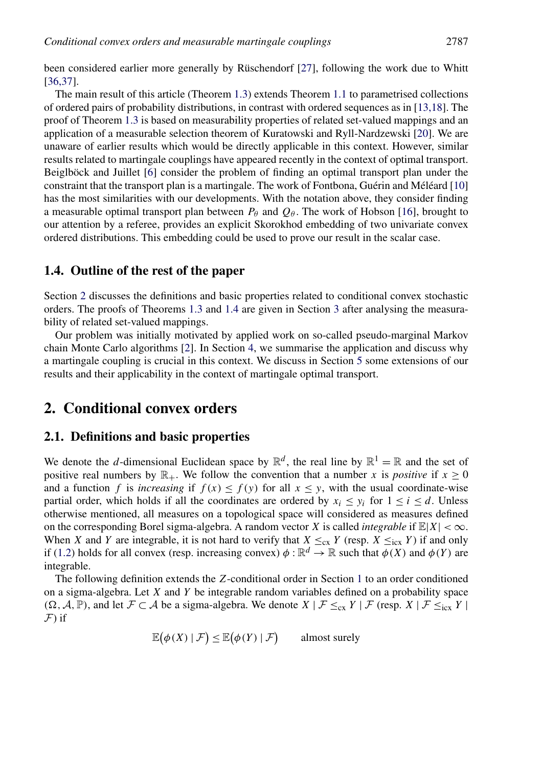been considered earlier more generally by Rüschendorf [\[27\]](#page-23-0), following the work due to Whitt [\[36,37\]](#page-23-0).

The main result of this article (Theorem [1.3\)](#page-3-0) extends Theorem [1.1](#page-2-0) to parametrised collections of ordered pairs of probability distributions, in contrast with ordered sequences as in [\[13,18\]](#page-23-0). The proof of Theorem [1.3](#page-3-0) is based on measurability properties of related set-valued mappings and an application of a measurable selection theorem of Kuratowski and Ryll-Nardzewski [\[20\]](#page-23-0). We are unaware of earlier results which would be directly applicable in this context. However, similar results related to martingale couplings have appeared recently in the context of optimal transport. Beiglböck and Juillet [\[6\]](#page-22-0) consider the problem of finding an optimal transport plan under the constraint that the transport plan is a martingale. The work of Fontbona, Guérin and Méléard [\[10\]](#page-22-0) has the most similarities with our developments. With the notation above, they consider finding a measurable optimal transport plan between  $P_\theta$  and  $Q_\theta$ . The work of Hobson [\[16\]](#page-23-0), brought to our attention by a referee, provides an explicit Skorokhod embedding of two univariate convex ordered distributions. This embedding could be used to prove our result in the scalar case.

#### **1.4. Outline of the rest of the paper**

Section 2 discusses the definitions and basic properties related to conditional convex stochastic orders. The proofs of Theorems [1.3](#page-3-0) and [1.4](#page-3-0) are given in Section [3](#page-8-0) after analysing the measurability of related set-valued mappings.

Our problem was initially motivated by applied work on so-called pseudo-marginal Markov chain Monte Carlo algorithms [\[2\]](#page-22-0). In Section [4,](#page-14-0) we summarise the application and discuss why a martingale coupling is crucial in this context. We discuss in Section [5](#page-16-0) some extensions of our results and their applicability in the context of martingale optimal transport.

## **2. Conditional convex orders**

#### **2.1. Definitions and basic properties**

We denote the *d*-dimensional Euclidean space by  $\mathbb{R}^d$ , the real line by  $\mathbb{R}^1 = \mathbb{R}$  and the set of positive real numbers by  $\mathbb{R}_+$ . We follow the convention that a number *x* is *positive* if  $x \ge 0$ and a function *f* is *increasing* if  $f(x) \leq f(y)$  for all  $x \leq y$ , with the usual coordinate-wise partial order, which holds if all the coordinates are ordered by  $x_i \leq y_i$  for  $1 \leq i \leq d$ . Unless otherwise mentioned, all measures on a topological space will considered as measures defined on the corresponding Borel sigma-algebra. A random vector *X* is called *integrable* if  $\mathbb{E}|X| < \infty$ . When *X* and *Y* are integrable, it is not hard to verify that  $X \leq_{cx} Y$  (resp.  $X \leq_{icx} Y$ ) if and only if [\(1.2\)](#page-2-0) holds for all convex (resp. increasing convex)  $\phi : \mathbb{R}^d \to \mathbb{R}$  such that  $\phi(X)$  and  $\phi(Y)$  are integrable.

The following definition extends the *Z*-conditional order in Section [1](#page-1-0) to an order conditioned on a sigma-algebra. Let *X* and *Y* be integrable random variables defined on a probability space  $(\Omega, \mathcal{A}, \mathbb{P})$ , and let *F* ⊂ *A* be a sigma-algebra. We denote *X* | *F* ≤cx *Y* | *F* (resp. *X* | *F* ≤icx *Y* |  $\mathcal{F}$ ) if

$$
\mathbb{E}(\phi(X) | \mathcal{F}) \le \mathbb{E}(\phi(Y) | \mathcal{F}) \quad \text{almost surely}
$$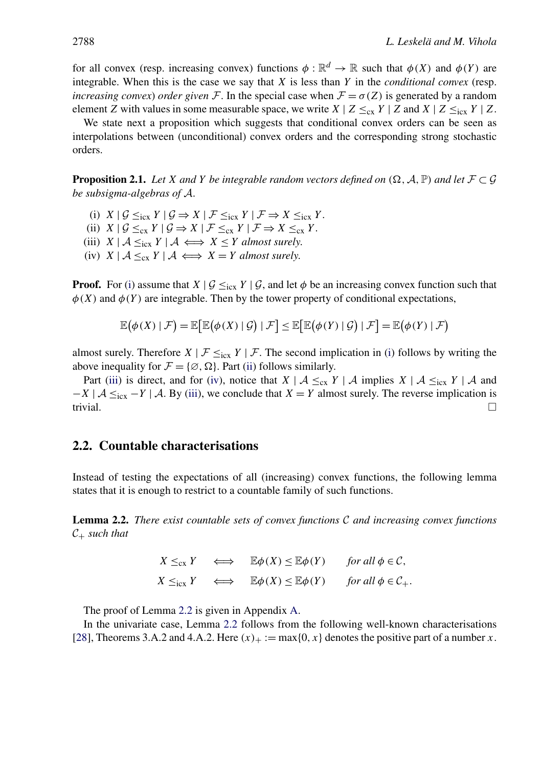<span id="page-5-0"></span>for all convex (resp. increasing convex) functions  $\phi : \mathbb{R}^d \to \mathbb{R}$  such that  $\phi(X)$  and  $\phi(Y)$  are integrable. When this is the case we say that *X* is less than *Y* in the *conditional convex* (resp. *increasing convex*) *order given* F. In the special case when  $F = \sigma(Z)$  is generated by a random element *Z* with values in some measurable space, we write  $X \mid Z \leq_{\text{cx}} Y \mid Z$  and  $X \mid Z \leq_{\text{cx}} Y \mid Z$ .

We state next a proposition which suggests that conditional convex orders can be seen as interpolations between (unconditional) convex orders and the corresponding strong stochastic orders.

**Proposition 2.1.** *Let X and Y be integrable random vectors defined on*  $(\Omega, \mathcal{A}, \mathbb{P})$  *and let*  $\mathcal{F} \subset \mathcal{G}$ *be subsigma-algebras of* A.

- (i)  $X \mid \mathcal{G} \leq_{\text{icx}} Y \mid \mathcal{G} \Rightarrow X \mid \mathcal{F} \leq_{\text{icx}} Y \mid \mathcal{F} \Rightarrow X \leq_{\text{icx}} Y$ . (ii)  $X \mid \mathcal{G} \leq_{\text{cx}} Y \mid \mathcal{G} \Rightarrow X \mid \mathcal{F} \leq_{\text{cx}} Y \mid \mathcal{F} \Rightarrow X \leq_{\text{cx}} Y$ .
- (iii)  $X \mid A \leq_{\text{icx}} Y \mid A \iff X \leq Y$  *almost surely.*
- (iv)  $X \mid A \leq_{\text{cx}} Y \mid A \iff X = Y$  *almost surely.*

**Proof.** For (i) assume that  $X \mid \mathcal{G} \leq_{\text{icx}} Y \mid \mathcal{G}$ , and let  $\phi$  be an increasing convex function such that  $\phi(X)$  and  $\phi(Y)$  are integrable. Then by the tower property of conditional expectations,

$$
\mathbb{E}(\phi(X) | \mathcal{F}) = \mathbb{E}\big[\mathbb{E}(\phi(X) | \mathcal{G}) | \mathcal{F}\big] \le \mathbb{E}\big[\mathbb{E}(\phi(Y) | \mathcal{G}) | \mathcal{F}\big] = \mathbb{E}(\phi(Y) | \mathcal{F})
$$

almost surely. Therefore  $X \mid \mathcal{F} \leq_{\text{icx}} Y \mid \mathcal{F}$ . The second implication in (i) follows by writing the above inequality for  $\mathcal{F} = \{ \emptyset, \Omega \}$ . Part (ii) follows similarly.

Part (iii) is direct, and for (iv), notice that  $X \mid A \leq_{cx} Y \mid A$  implies  $X \mid A \leq_{icx} Y \mid A$  and  $-X \mid A \leq_{\text{icx}} -Y \mid A$ . By (iii), we conclude that *X* = *Y* almost surely. The reverse implication is trivial. trivial.

#### **2.2. Countable characterisations**

Instead of testing the expectations of all (increasing) convex functions, the following lemma states that it is enough to restrict to a countable family of such functions.

**Lemma 2.2.** *There exist countable sets of convex functions* C *and increasing convex functions*  $C_+$  *such that* 

> $X \leq_{\text{cx}} Y \iff \mathbb{E}\phi(X) \leq \mathbb{E}\phi(Y) \quad \text{for all } \phi \in \mathcal{C},$  $X \leq_{\text{icx}} Y \iff \mathbb{E}\phi(X) \leq \mathbb{E}\phi(Y) \quad \text{for all } \phi \in \mathcal{C}_+$ .

The proof of Lemma 2.2 is given in Appendix [A.](#page-19-0)

In the univariate case, Lemma 2.2 follows from the following well-known characterisations [\[28\]](#page-23-0), Theorems 3.A.2 and 4.A.2. Here  $(x)_+ := \max\{0, x\}$  denotes the positive part of a number *x*.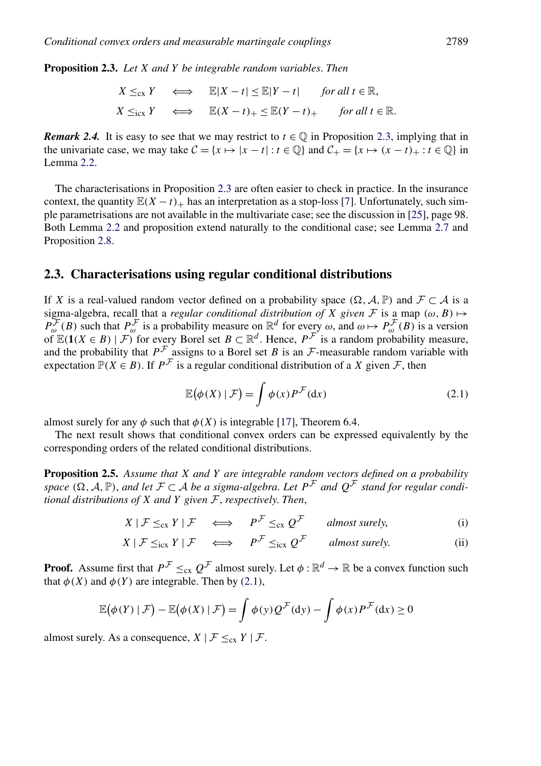<span id="page-6-0"></span>**Proposition 2.3.** *Let X and Y be integrable random variables*. *Then*

$$
X \leq_{\text{cx}} Y \iff \mathbb{E}|X - t| \leq \mathbb{E}|Y - t| \quad \text{for all } t \in \mathbb{R},
$$
  

$$
X \leq_{\text{icx}} Y \iff \mathbb{E}(X - t)_{+} \leq \mathbb{E}(Y - t)_{+} \quad \text{for all } t \in \mathbb{R}.
$$

*Remark 2.4.* It is easy to see that we may restrict to  $t \in \mathbb{Q}$  in Proposition 2.3, implying that in the univariate case, we may take  $C = \{x \mapsto |x - t| : t \in \mathbb{Q}\}\$  and  $C_+ = \{x \mapsto (x - t)_+ : t \in \mathbb{Q}\}\$  in Lemma [2.2.](#page-5-0)

The characterisations in Proposition 2.3 are often easier to check in practice. In the insurance context, the quantity  $E(X - t)$  has an interpretation as a stop-loss [\[7\]](#page-22-0). Unfortunately, such simple parametrisations are not available in the multivariate case; see the discussion in [\[25\]](#page-23-0), page 98. Both Lemma [2.2](#page-5-0) and proposition extend naturally to the conditional case; see Lemma [2.7](#page-8-0) and Proposition [2.8.](#page-8-0)

#### **2.3. Characterisations using regular conditional distributions**

If *X* is a real-valued random vector defined on a probability space  $(\Omega, \mathcal{A}, \mathbb{P})$  and  $\mathcal{F} \subset \mathcal{A}$  is a sigma-algebra, recall that a *regular conditional distribution of* X *given* F is a map  $(\omega, B) \mapsto$  $P_{\omega}^{\mathcal{F}}(B)$  such that  $P_{\omega}^{\mathcal{F}}$  is a probability measure on  $\mathbb{R}^d$  for every  $\omega$ , and  $\omega \mapsto P_{\omega}^{\mathcal{F}}(B)$  is a version of  $\mathbb{E}(1(X \in B) \mid \mathcal{F})$  for every Borel set  $B \subset \mathbb{R}^d$ . Hence,  $P^{\mathcal{F}}$  is a random probability measure, and the probability that  $P^{\mathcal{F}}$  assigns to a Borel set *B* is an  $\mathcal{F}$ -measurable random variable with expectation  $\mathbb{P}(X \in B)$ . If  $P^{\mathcal{F}}$  is a regular conditional distribution of a *X* given *F*, then

$$
\mathbb{E}(\phi(X) \mid \mathcal{F}) = \int \phi(x) P^{\mathcal{F}}(dx)
$$
\n(2.1)

almost surely for any  $\phi$  such that  $\phi(X)$  is integrable [\[17\]](#page-23-0), Theorem 6.4.

The next result shows that conditional convex orders can be expressed equivalently by the corresponding orders of the related conditional distributions.

**Proposition 2.5.** *Assume that X and Y are integrable random vectors defined on a probability space* ( $\Omega$ ,  $A$ ,  $\mathbb{P}$ ), *and let*  $\mathcal{F} \subset A$  *be a sigma-algebra. Let*  $P^{\mathcal{F}}$  *and*  $Q^{\mathcal{F}}$  *stand for regular conditional distributions of X and Y given* F, *respectively*. *Then*,

$$
X \mid \mathcal{F} \leq_{\text{cx}} Y \mid \mathcal{F} \quad \Longleftrightarrow \quad P^{\mathcal{F}} \leq_{\text{cx}} Q^{\mathcal{F}} \quad \text{almost surely,} \tag{i}
$$

$$
X \mid \mathcal{F} \leq_{\text{icx}} Y \mid \mathcal{F} \quad \Longleftrightarrow \quad P^{\mathcal{F}} \leq_{\text{icx}} Q^{\mathcal{F}} \quad \text{almost surely.} \tag{ii}
$$

**Proof.** Assume first that  $P^{\mathcal{F}} \leq_{\text{cx}} Q^{\mathcal{F}}$  almost surely. Let  $\phi : \mathbb{R}^d \to \mathbb{R}$  be a convex function such that  $\phi(X)$  and  $\phi(Y)$  are integrable. Then by (2.1),

$$
\mathbb{E}(\phi(Y) | \mathcal{F}) - \mathbb{E}(\phi(X) | \mathcal{F}) = \int \phi(y) Q^{\mathcal{F}}(dy) - \int \phi(x) P^{\mathcal{F}}(dx) \ge 0
$$

almost surely. As a consequence,  $X \mid \mathcal{F} \leq_{\text{cx}} Y \mid \mathcal{F}$ .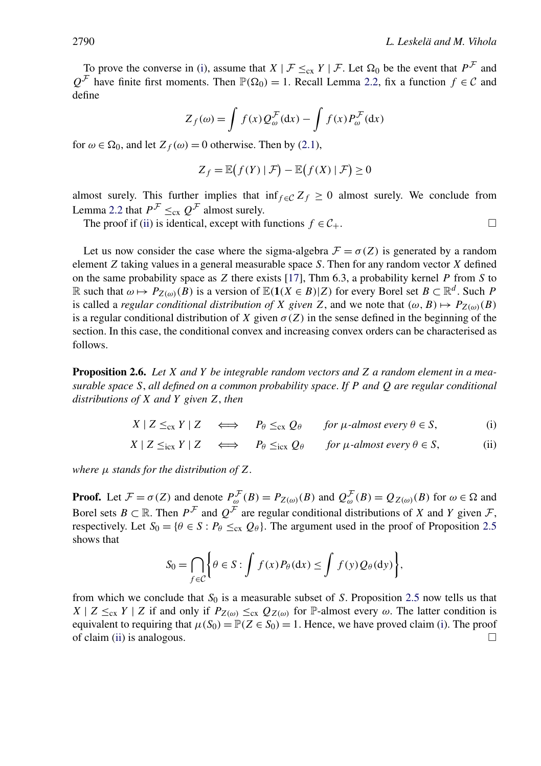<span id="page-7-0"></span>To prove the converse in [\(i\)](#page-6-0), assume that  $X \mid \mathcal{F} \leq_{\text{cx}} Y \mid \mathcal{F}$ . Let  $\Omega_0$  be the event that  $P^{\mathcal{F}}$  and  $Q^{\mathcal{F}}$  have finite first moments. Then  $\mathbb{P}(\Omega_0) = 1$ . Recall Lemma [2.2,](#page-5-0) fix a function  $f \in \mathcal{C}$  and define

$$
Z_f(\omega) = \int f(x) Q_{\omega}^{\mathcal{F}}(\mathrm{d}x) - \int f(x) P_{\omega}^{\mathcal{F}}(\mathrm{d}x)
$$

for  $\omega \in \Omega_0$ , and let  $Z_f(\omega) = 0$  otherwise. Then by [\(2.1\)](#page-6-0),

$$
Z_f = \mathbb{E}\big(f(Y) \mid \mathcal{F}\big) - \mathbb{E}\big(f(X) \mid \mathcal{F}\big) \ge 0
$$

almost surely. This further implies that inf<sub>f ∈C</sub>  $Z_f \ge 0$  almost surely. We conclude from Lemma [2.2](#page-5-0) that  $P^{\mathcal{F}} \leq_{\text{cx}} Q^{\mathcal{F}}$  almost surely.

The proof if [\(ii\)](#page-6-0) is identical, except with functions  $f \in C_+$ .

Let us now consider the case where the sigma-algebra  $\mathcal{F} = \sigma(Z)$  is generated by a random element *Z* taking values in a general measurable space *S*. Then for any random vector *X* defined on the same probability space as *Z* there exists [\[17\]](#page-23-0), Thm 6.3, a probability kernel *P* from *S* to R such that  $\omega \mapsto P_{Z(\omega)}(B)$  is a version of  $\mathbb{E}(\mathbf{1}(X \in B)|Z)$  for every Borel set  $B \subset \mathbb{R}^d$ . Such P is called a *regular conditional distribution of X given Z*, and we note that  $(\omega, B) \mapsto P_{Z(\omega)}(B)$ is a regular conditional distribution of *X* given  $\sigma(Z)$  in the sense defined in the beginning of the section. In this case, the conditional convex and increasing convex orders can be characterised as follows.

**Proposition 2.6.** *Let X and Y be integrable random vectors and Z a random element in a measurable space S*, *all defined on a common probability space*. *If P and Q are regular conditional distributions of X and Y given Z*, *then*

$$
X \mid Z \leq_{\text{cx}} Y \mid Z \iff P_{\theta} \leq_{\text{cx}} Q_{\theta} \quad \text{for } \mu\text{-almost every } \theta \in S,
$$
 (i)

$$
X \mid Z \leq_{\text{icx}} Y \mid Z \quad \Longleftrightarrow \quad P_{\theta} \leq_{\text{icx}} Q_{\theta} \quad \text{for } \mu\text{-almost every } \theta \in S,
$$
 (ii)

*where μ stands for the distribution of Z*.

**Proof.** Let  $\mathcal{F} = \sigma(Z)$  and denote  $P_{\omega}^{\mathcal{F}}(B) = P_{Z(\omega)}(B)$  and  $Q_{\omega}^{\mathcal{F}}(B) = Q_{Z(\omega)}(B)$  for  $\omega \in \Omega$  and Borel sets *B* ⊂ R. Then  $P^{\mathcal{F}}$  and  $O^{\mathcal{F}}$  are regular conditional distributions of *X* and *Y* given *F*, respectively. Let  $S_0 = \{ \theta \in S : P_\theta \leq_{\text{cx}} Q_\theta \}$ . The argument used in the proof of Proposition [2.5](#page-6-0) shows that

$$
S_0 = \bigcap_{f \in \mathcal{C}} \bigg\{ \theta \in S : \int f(x) P_{\theta}(\mathrm{d}x) \le \int f(y) Q_{\theta}(\mathrm{d}y) \bigg\},
$$

from which we conclude that  $S_0$  is a measurable subset of *S*. Proposition [2.5](#page-6-0) now tells us that  $X \mid Z \leq_{\text{cx}} Y \mid Z$  if and only if  $P_{Z(\omega)} \leq_{\text{cx}} Q_{Z(\omega)}$  for P-almost every  $\omega$ . The latter condition is equivalent to requiring that  $\mu(S_0) = \mathbb{P}(Z \in S_0) = 1$ . Hence, we have proved claim (i). The proof of claim (ii) is analogous.  $\Box$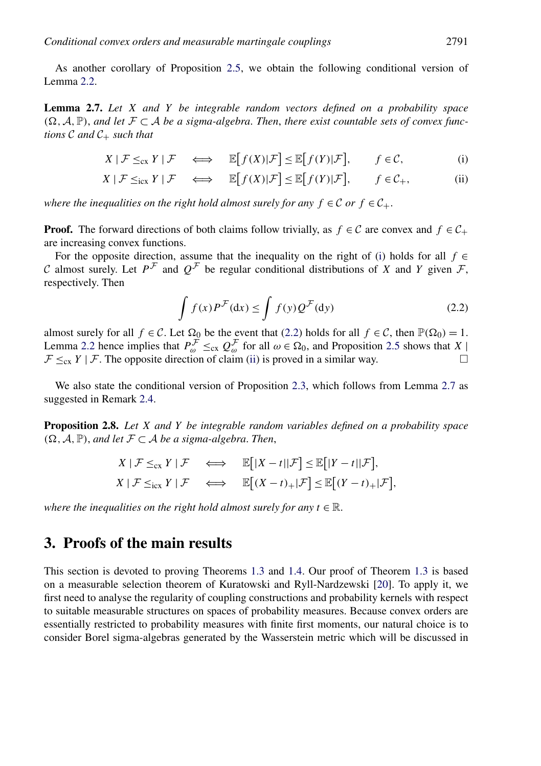<span id="page-8-0"></span>As another corollary of Proposition [2.5,](#page-6-0) we obtain the following conditional version of Lemma [2.2.](#page-5-0)

**Lemma 2.7.** *Let X and Y be integrable random vectors defined on a probability space*  $(Ω, A, ℤ)$ , *and let*  $Γ ⊂ A$  *be a sigma-algebra. Then, there exist countable sets of convex functions*  $C$  *and*  $C_+$  *such that* 

$$
X \mid \mathcal{F} \leq_{\text{cx}} Y \mid \mathcal{F} \quad \Longleftrightarrow \quad \mathbb{E}\big[f(X)|\mathcal{F}\big] \leq \mathbb{E}\big[f(Y)|\mathcal{F}\big], \qquad f \in \mathcal{C},\tag{i}
$$

$$
X \mid \mathcal{F} \leq_{\text{icx}} Y \mid \mathcal{F} \quad \Longleftrightarrow \quad \mathbb{E}\big[f(X)|\mathcal{F}\big] \leq \mathbb{E}\big[f(Y)|\mathcal{F}\big], \qquad f \in \mathcal{C}_+, \tag{ii}
$$

*where the inequalities on the right hold almost surely for any*  $f \in \mathcal{C}$  *or*  $f \in \mathcal{C}_+$ .

**Proof.** The forward directions of both claims follow trivially, as  $f \in C$  are convex and  $f \in C_+$ are increasing convex functions.

For the opposite direction, assume that the inequality on the right of (i) holds for all  $f \in$ C almost surely. Let  $P^{\mathcal{F}}$  and  $Q^{\mathcal{F}}$  be regular conditional distributions of X and Y given  $\mathcal{F}$ , respectively. Then

$$
\int f(x)P^{\mathcal{F}}(\mathrm{d}x) \le \int f(y)Q^{\mathcal{F}}(\mathrm{d}y) \tag{2.2}
$$

almost surely for all  $f \in C$ . Let  $\Omega_0$  be the event that (2.2) holds for all  $f \in C$ , then  $\mathbb{P}(\Omega_0) = 1$ . Lemma [2.2](#page-5-0) hence implies that  $P_{\omega}^{\perp} \leq_{\text{cx}} Q_{\omega}^{\perp}$  for all  $\omega \in \Omega_0$ , and Proposition [2.5](#page-6-0) shows that *X* |  $\mathcal{F} \leq_{\text{cx}} Y \mid \mathcal{F}$ . The opposite direction of claim (ii) is proved in a similar way.

We also state the conditional version of Proposition [2.3,](#page-6-0) which follows from Lemma 2.7 as suggested in Remark [2.4.](#page-6-0)

**Proposition 2.8.** *Let X and Y be integrable random variables defined on a probability space*  $(\Omega, \mathcal{A}, \mathbb{P})$ , *and let*  $\mathcal{F} \subset \mathcal{A}$  *be a sigma-algebra. Then,* 

$$
X \mid \mathcal{F} \leq_{\text{cx}} Y \mid \mathcal{F} \iff \mathbb{E}\big[|X - t| \mid \mathcal{F}\big] \leq \mathbb{E}\big[|Y - t| \mid \mathcal{F}\big],
$$
  

$$
X \mid \mathcal{F} \leq_{\text{icx}} Y \mid \mathcal{F} \iff \mathbb{E}\big[(X - t)_{+} | \mathcal{F}\big] \leq \mathbb{E}\big[(Y - t)_{+} | \mathcal{F}\big],
$$

*where the inequalities on the right hold almost surely for any*  $t \in \mathbb{R}$ .

## **3. Proofs of the main results**

This section is devoted to proving Theorems [1.3](#page-3-0) and [1.4.](#page-3-0) Our proof of Theorem [1.3](#page-3-0) is based on a measurable selection theorem of Kuratowski and Ryll-Nardzewski [\[20\]](#page-23-0). To apply it, we first need to analyse the regularity of coupling constructions and probability kernels with respect to suitable measurable structures on spaces of probability measures. Because convex orders are essentially restricted to probability measures with finite first moments, our natural choice is to consider Borel sigma-algebras generated by the Wasserstein metric which will be discussed in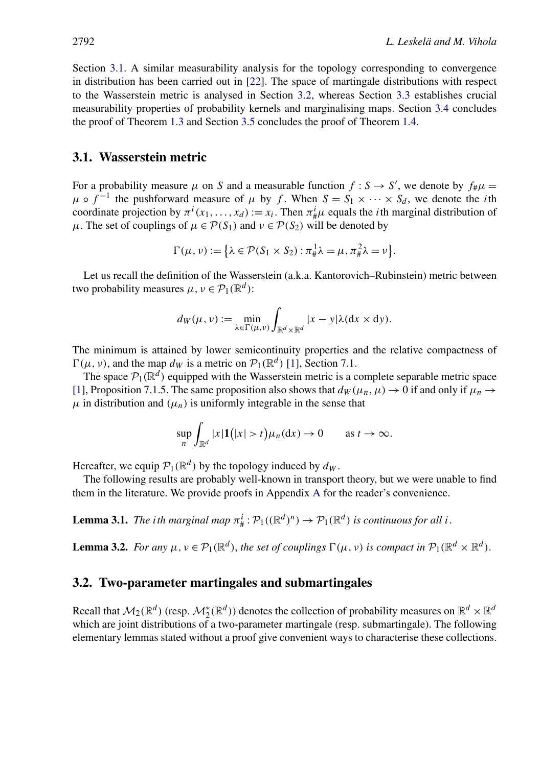<span id="page-9-0"></span>Section 3.1. A similar measurability analysis for the topology corresponding to convergence in distribution has been carried out in [\[22\]](#page-23-0). The space of martingale distributions with respect to the Wasserstein metric is analysed in Section 3.2, whereas Section [3.3](#page-10-0) establishes crucial measurability properties of probability kernels and marginalising maps. Section [3.4](#page-13-0) concludes the proof of Theorem [1.3](#page-3-0) and Section [3.5](#page-13-0) concludes the proof of Theorem [1.4.](#page-3-0)

#### **3.1. Wasserstein metric**

For a probability measure  $\mu$  on *S* and a measurable function  $f : S \rightarrow S'$ , we denote by  $f_{\#} \mu =$  $\mu \circ f^{-1}$  the pushforward measure of  $\mu$  by *f*. When  $S = S_1 \times \cdots \times S_d$ , we denote the *i*th coordinate projection by  $\pi^{i}(x_1,...,x_d) := x_i$ . Then  $\pi^{i}_{\#}\mu$  equals the *i*th marginal distribution of *μ*. The set of couplings of *μ* ∈  $P(S_1)$  and *ν* ∈  $P(S_2)$  will be denoted by

$$
\Gamma(\mu, \nu) := \left\{ \lambda \in \mathcal{P}(S_1 \times S_2) : \pi^1_{\#} \lambda = \mu, \pi^2_{\#} \lambda = \nu \right\}.
$$

Let us recall the definition of the Wasserstein (a.k.a. Kantorovich–Rubinstein) metric between two probability measures  $\mu, \nu \in \mathcal{P}_1(\mathbb{R}^d)$ :

$$
d_W(\mu, \nu) := \min_{\lambda \in \Gamma(\mu, \nu)} \int_{\mathbb{R}^d \times \mathbb{R}^d} |x - y| \lambda(dx \times dy).
$$

The minimum is attained by lower semicontinuity properties and the relative compactness of  $\Gamma(\mu, \nu)$ , and the map *d<sub>W</sub>* is a metric on  $\mathcal{P}_1(\mathbb{R}^d)$  [\[1\]](#page-22-0), Section 7.1.

The space  $\mathcal{P}_1(\mathbb{R}^d)$  equipped with the Wasserstein metric is a complete separable metric space [\[1\]](#page-22-0), Proposition 7.1.5. The same proposition also shows that  $d_W(\mu_n, \mu) \to 0$  if and only if  $\mu_n \to$  $\mu$  in distribution and  $(\mu_n)$  is uniformly integrable in the sense that

$$
\sup_n \int_{\mathbb{R}^d} |x| \mathbf{1}(|x| > t) \mu_n(\mathrm{d}x) \to 0 \quad \text{as } t \to \infty.
$$

Hereafter, we equip  $\mathcal{P}_1(\mathbb{R}^d)$  by the topology induced by  $d_W$ .

The following results are probably well-known in transport theory, but we were unable to find them in the literature. We provide proofs in Appendix [A](#page-19-0) for the reader's convenience.

**Lemma 3.1.** *The ith marginal map*  $\pi^i_{\#}: \mathcal{P}_1((\mathbb{R}^d)^n) \to \mathcal{P}_1(\mathbb{R}^d)$  *is continuous for all i.* 

**Lemma 3.2.** *For any*  $\mu, \nu \in \mathcal{P}_1(\mathbb{R}^d)$ , *the set of couplings*  $\Gamma(\mu, \nu)$  *is compact in*  $\mathcal{P}_1(\mathbb{R}^d \times \mathbb{R}^d)$ .

#### **3.2. Two-parameter martingales and submartingales**

Recall that  $M_2(\mathbb{R}^d)$  (resp.  $M_2^*(\mathbb{R}^d)$ ) denotes the collection of probability measures on  $\mathbb{R}^d \times \mathbb{R}^d$ which are joint distributions of a two-parameter martingale (resp. submartingale). The following elementary lemmas stated without a proof give convenient ways to characterise these collections.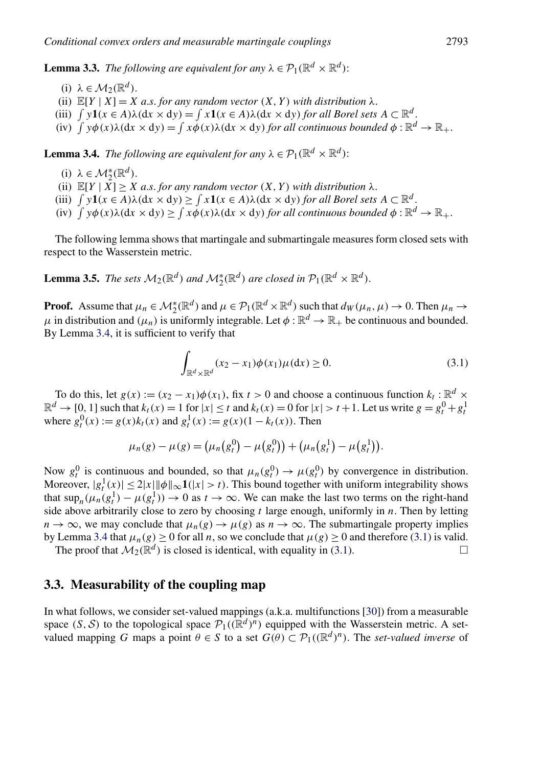<span id="page-10-0"></span>**Lemma 3.3.** *The following are equivalent for any*  $\lambda \in \mathcal{P}_1(\mathbb{R}^d \times \mathbb{R}^d)$ :

- (i)  $\lambda \in M_2(\mathbb{R}^d)$ .
- (ii)  $\mathbb{E}[Y | X] = X$  *a.s. for any random vector*  $(X, Y)$  *with distribution*  $\lambda$ *.*
- (iii)  $\int y\mathbf{1}(x \in A)\lambda(\mathrm{d}x \times \mathrm{d}y) = \int x\mathbf{1}(x \in A)\lambda(\mathrm{d}x \times \mathrm{d}y)$  for all Borel sets  $A \subset \mathbb{R}^d$ .
- (iv)  $\int y\phi(x)\lambda(dx \times dy) = \int x\phi(x)\lambda(dx \times dy)$  for all continuous bounded  $\phi : \mathbb{R}^d \to \mathbb{R}_+$ .

**Lemma 3.4.** *The following are equivalent for any*  $\lambda \in \mathcal{P}_1(\mathbb{R}^d \times \mathbb{R}^d)$ :

- (i)  $\lambda \in \mathcal{M}_2^*(\mathbb{R}^d)$ .
- (ii)  $\mathbb{E}[Y | X] \ge X$  *a.s. for any random vector*  $(X, Y)$  *with distribution*  $\lambda$ *.*
- (iii)  $\int y\mathbf{1}(x \in A)\lambda(\mathrm{d}x \times \mathrm{d}y) \ge \int x\mathbf{1}(x \in A)\lambda(\mathrm{d}x \times \mathrm{d}y)$  for all Borel sets  $A \subset \mathbb{R}^d$ .
- $f(y)$   $\int y\phi(x)\lambda(dx \times dy) \ge \int x\dot{\phi}(x)\lambda(dx \times dy)$  *for all continuous bounded*  $\phi : \mathbb{R}^d \to \mathbb{R}_+$ .

The following lemma shows that martingale and submartingale measures form closed sets with respect to the Wasserstein metric.

**Lemma 3.5.** *The sets*  $M_2(\mathbb{R}^d)$  *and*  $M_2^*(\mathbb{R}^d)$  *are closed in*  $\mathcal{P}_1(\mathbb{R}^d \times \mathbb{R}^d)$ *.* 

**Proof.** Assume that  $\mu_n \in M_2^*(\mathbb{R}^d)$  and  $\mu \in \mathcal{P}_1(\mathbb{R}^d \times \mathbb{R}^d)$  such that  $d_W(\mu_n, \mu) \to 0$ . Then  $\mu_n \to$  $\mu$  in distribution and  $(\mu_n)$  is uniformly integrable. Let  $\phi : \mathbb{R}^d \to \mathbb{R}_+$  be continuous and bounded. By Lemma 3.4, it is sufficient to verify that

$$
\int_{\mathbb{R}^d \times \mathbb{R}^d} (x_2 - x_1) \phi(x_1) \mu(\mathrm{d}x) \ge 0.
$$
\n(3.1)

To do this, let  $g(x) := (x_2 - x_1)\phi(x_1)$ , fix  $t > 0$  and choose a continuous function  $k_t : \mathbb{R}^d \times$  $\mathbb{R}^d \to [0, 1]$  such that  $k_t(x) = 1$  for  $|x| \le t$  and  $k_t(x) = 0$  for  $|x| > t + 1$ . Let us write  $g = g_t^0 + g_t^1$ where  $g_t^0(x) := g(x)k_t(x)$  and  $g_t^1(x) := g(x)(1 - k_t(x))$ . Then

$$
\mu_n(g) - \mu(g) = (\mu_n(g_t^0) - \mu(g_t^0)) + (\mu_n(g_t^1) - \mu(g_t^1)).
$$

Now  $g_t^0$  is continuous and bounded, so that  $\mu_n(g_t^0) \to \mu(g_t^0)$  by convergence in distribution. Moreover,  $|g_t^1(x)| \le 2|x| ||\phi||_{\infty} \mathbf{1}(|x| > t)$ . This bound together with uniform integrability shows that  $\sup_n(\mu_n(g_t^1) - \mu(g_t^1)) \to 0$  as  $t \to \infty$ . We can make the last two terms on the right-hand side above arbitrarily close to zero by choosing *t* large enough, uniformly in *n*. Then by letting  $n \to \infty$ , we may conclude that  $\mu_n(g) \to \mu(g)$  as  $n \to \infty$ . The submartingale property implies by Lemma 3.4 that  $\mu_n(g) > 0$  for all *n*, so we conclude that  $\mu(g) > 0$  and therefore (3.1) is valid.

The proof that  $\mathcal{M}_2(\mathbb{R}^d)$  is closed is identical, with equality in (3.1).

#### **3.3. Measurability of the coupling map**

In what follows, we consider set-valued mappings (a.k.a. multifunctions [\[30\]](#page-23-0)) from a measurable space  $(S, S)$  to the topological space  $\mathcal{P}_1((\mathbb{R}^d)^n)$  equipped with the Wasserstein metric. A setvalued mapping *G* maps a point  $\theta \in S$  to a set  $G(\theta) \subset \mathcal{P}_1((\mathbb{R}^d)^n)$ . The *set-valued inverse* of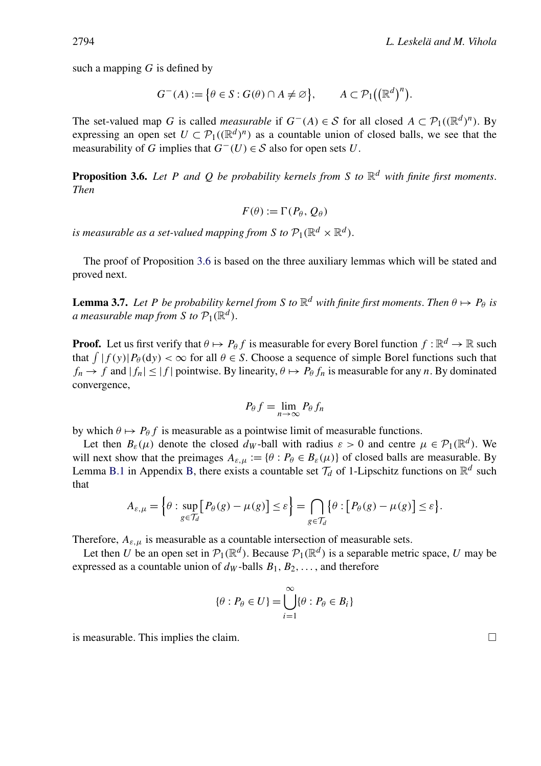<span id="page-11-0"></span>such a mapping *G* is defined by

$$
G^{-}(A) := \{ \theta \in S : G(\theta) \cap A \neq \emptyset \}, \qquad A \subset \mathcal{P}_1((\mathbb{R}^d)^n).
$$

The set-valued map *G* is called *measurable* if  $G^{-}(A) \in S$  for all closed  $A \subset \mathcal{P}_1((\mathbb{R}^d)^n)$ . By expressing an open set  $U \subset \mathcal{P}_1((\mathbb{R}^d)^n)$  as a countable union of closed balls, we see that the measurability of *G* implies that  $G^{-}(U) \in S$  also for open sets *U*.

**Proposition 3.6.** *Let P and Q be probability kernels from S to*  $\mathbb{R}^d$  *with finite first moments. Then*

$$
F(\theta) := \Gamma(P_{\theta}, Q_{\theta})
$$

*is measurable as a set-valued mapping from S to*  $\mathcal{P}_1(\mathbb{R}^d \times \mathbb{R}^d)$ *.* 

The proof of Proposition 3.6 is based on the three auxiliary lemmas which will be stated and proved next.

**Lemma 3.7.** Let P be probability kernel from S to  $\mathbb{R}^d$  with finite first moments. Then  $\theta \mapsto P_\theta$  is *a* measurable map from *S to*  $\mathcal{P}_1(\mathbb{R}^d)$ .

**Proof.** Let us first verify that  $\theta \mapsto P_{\theta} f$  is measurable for every Borel function  $f : \mathbb{R}^d \to \mathbb{R}$  such that  $\int |f(y)| P_{\theta}(dy) < \infty$  for all  $\theta \in S$ . Choose a sequence of simple Borel functions such that  $f_n \to f$  and  $|f_n| \leq |f|$  pointwise. By linearity,  $\theta \mapsto P_\theta f_n$  is measurable for any *n*. By dominated convergence,

$$
P_{\theta} f = \lim_{n \to \infty} P_{\theta} f_n
$$

by which  $\theta \mapsto P_{\theta} f$  is measurable as a pointwise limit of measurable functions.

Let then  $B_{\varepsilon}(\mu)$  denote the closed  $d_W$ -ball with radius  $\varepsilon > 0$  and centre  $\mu \in \mathcal{P}_1(\mathbb{R}^d)$ . We will next show that the preimages  $A_{\varepsilon,\mu} := {\theta : P_{\theta} \in B_{\varepsilon}(\mu)}$  of closed balls are measurable. By Lemma [B.1](#page-20-0) in Appendix [B,](#page-20-0) there exists a countable set  $\mathcal{T}_d$  of 1-Lipschitz functions on  $\mathbb{R}^d$  such that

$$
A_{\varepsilon,\mu} = \left\{\theta : \sup_{g \in \mathcal{T}_d} \left[P_{\theta}(g) - \mu(g)\right] \leq \varepsilon\right\} = \bigcap_{g \in \mathcal{T}_d} \left\{\theta : \left[P_{\theta}(g) - \mu(g)\right] \leq \varepsilon\right\}.
$$

Therefore,  $A_{\varepsilon,\mu}$  is measurable as a countable intersection of measurable sets.

Let then *U* be an open set in  $\mathcal{P}_1(\mathbb{R}^d)$ . Because  $\mathcal{P}_1(\mathbb{R}^d)$  is a separable metric space, *U* may be expressed as a countable union of  $d<sub>W</sub>$ -balls  $B<sub>1</sub>, B<sub>2</sub>, ...,$  and therefore

$$
\{\theta: P_{\theta} \in U\} = \bigcup_{i=1}^{\infty} \{\theta: P_{\theta} \in B_i\}
$$

is measurable. This implies the claim.  $\Box$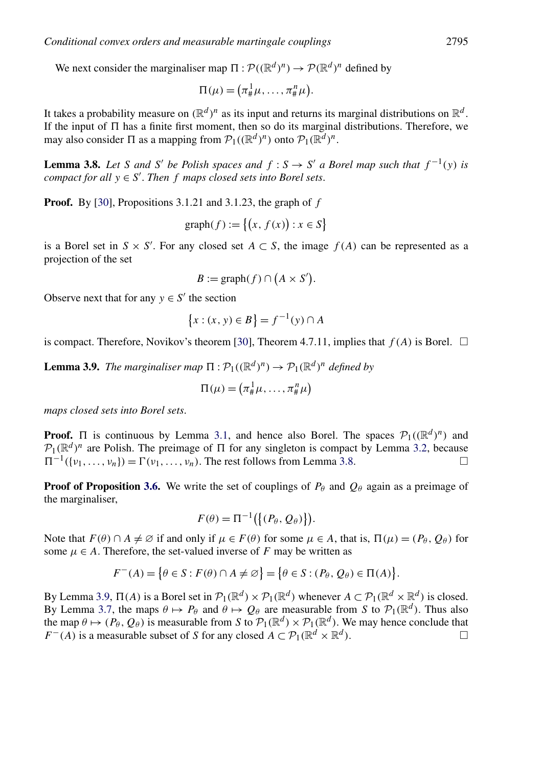We next consider the marginaliser map  $\Pi : \mathcal{P}((\mathbb{R}^d)^n) \to \mathcal{P}(\mathbb{R}^d)^n$  defined by

$$
\Pi(\mu) = \left(\pi^1_{\#}\mu, \ldots, \pi^n_{\#}\mu\right).
$$

It takes a probability measure on  $(\mathbb{R}^d)^n$  as its input and returns its marginal distributions on  $\mathbb{R}^d$ . If the input of  $\Pi$  has a finite first moment, then so do its marginal distributions. Therefore, we may also consider  $\Pi$  as a mapping from  $\mathcal{P}_1((\mathbb{R}^d)^n)$  onto  $\mathcal{P}_1(\mathbb{R}^d)^n$ .

**Lemma 3.8.** *Let S and S*<sup>*'*</sup> *be Polish spaces and*  $f : S \rightarrow S'$  *a Borel map such that*  $f^{-1}(y)$  *is compact for all*  $y \in S'$ . *Then*  $f$  *maps closed sets into Borel sets.* 

**Proof.** By [\[30\]](#page-23-0), Propositions 3.1.21 and 3.1.23, the graph of *f*

$$
\text{graph}(f) := \{(x, f(x)) : x \in S\}
$$

is a Borel set in  $S \times S'$ . For any closed set  $A \subset S$ , the image  $f(A)$  can be represented as a projection of the set

$$
B := \text{graph}(f) \cap (A \times S').
$$

Observe next that for any  $y \in S'$  the section

$$
\{x : (x, y) \in B\} = f^{-1}(y) \cap A
$$

is compact. Therefore, Novikov's theorem [\[30\]](#page-23-0), Theorem 4.7.11, implies that  $f(A)$  is Borel.  $\Box$ 

**Lemma 3.9.** *The marginaliser map*  $\Pi : \mathcal{P}_1((\mathbb{R}^d)^n) \to \mathcal{P}_1(\mathbb{R}^d)^n$  *defined by* 

$$
\Pi(\mu) = \left(\pi^1_\# \mu, \ldots, \pi^n_\# \mu\right)
$$

*maps closed sets into Borel sets*.

**Proof.**  $\Pi$  is continuous by Lemma [3.1,](#page-9-0) and hence also Borel. The spaces  $\mathcal{P}_1((\mathbb{R}^d)^n)$  and  $P_1(\mathbb{R}^d)^n$  are Polish. The preimage of  $\Pi$  for any singleton is compact by Lemma [3.2,](#page-9-0) because  $\Pi^{-1}(I_1, \ldots, I_n) = \Gamma(i)$ .  $\Pi^{-1}({v_1, ..., v_n}) = \Gamma(v_1, ..., v_n)$ . The rest follows from Lemma 3.8.

**Proof of Proposition [3.6.](#page-11-0)** We write the set of couplings of  $P_\theta$  and  $Q_\theta$  again as a preimage of the marginaliser,

$$
F(\theta) = \Pi^{-1}(\{(P_{\theta}, Q_{\theta})\}).
$$

Note that  $F(\theta) \cap A \neq \emptyset$  if and only if  $\mu \in F(\theta)$  for some  $\mu \in A$ , that is,  $\Pi(\mu) = (P_{\theta}, Q_{\theta})$  for some  $\mu \in A$ . Therefore, the set-valued inverse of *F* may be written as

$$
F^{-}(A) = \{ \theta \in S : F(\theta) \cap A \neq \emptyset \} = \{ \theta \in S : (P_{\theta}, Q_{\theta}) \in \Pi(A) \}.
$$

By Lemma 3.9,  $\Pi(A)$  is a Borel set in  $\mathcal{P}_1(\mathbb{R}^d) \times \mathcal{P}_1(\mathbb{R}^d)$  whenever  $A \subset \mathcal{P}_1(\mathbb{R}^d \times \mathbb{R}^d)$  is closed. By Lemma [3.7,](#page-11-0) the maps *θ* → *P*θ and *θ* → *O*θ are measurable from *S* to  $P_1(\mathbb{R}^d)$ . Thus also the map  $\theta \mapsto (P_{\theta}, Q_{\theta})$  is measurable from *S* to  $\mathcal{P}_1(\mathbb{R}^d) \times \mathcal{P}_1(\mathbb{R}^d)$ . We may hence conclude that  $F^{-}(A)$  is a measurable subset of *S* for any closed  $A \subset \mathcal{P}_1(\mathbb{R}^d \times \mathbb{R}^d)$ .  $F^{-}(A)$  is a measurable subset of *S* for any closed  $A \subset \mathcal{P}_1(\mathbb{R}^d \times \mathbb{R}^d)$ .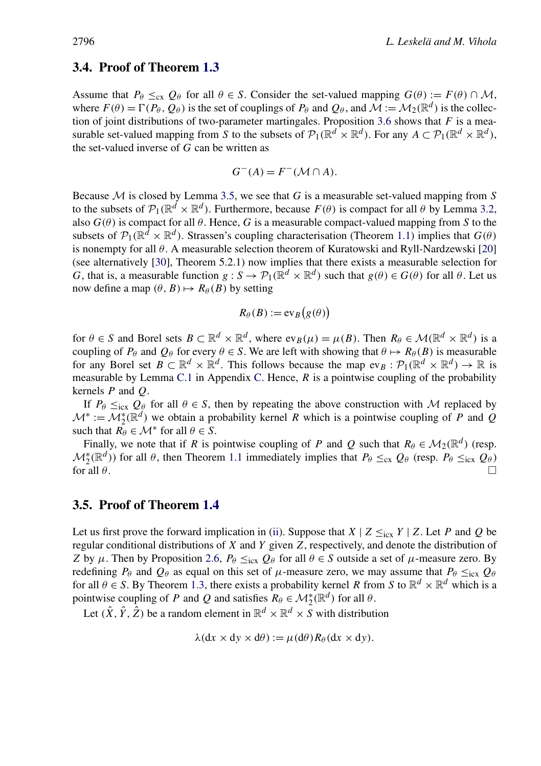#### <span id="page-13-0"></span>**3.4. Proof of Theorem [1.3](#page-3-0)**

Assume that  $P_\theta \leq_{\text{cx}} Q_\theta$  for all  $\theta \in S$ . Consider the set-valued mapping  $G(\theta) := F(\theta) \cap M$ , where  $F(\theta) = \Gamma(P_{\theta}, Q_{\theta})$  is the set of couplings of  $P_{\theta}$  and  $Q_{\theta}$ , and  $M := \mathcal{M}_2(\mathbb{R}^d)$  is the collection of joint distributions of two-parameter martingales. Proposition [3.6](#page-11-0) shows that *F* is a measurable set-valued mapping from *S* to the subsets of  $\mathcal{P}_1(\mathbb{R}^d \times \mathbb{R}^d)$ . For any  $A \subset \mathcal{P}_1(\mathbb{R}^d \times \mathbb{R}^d)$ , the set-valued inverse of *G* can be written as

$$
G^{-}(A) = F^{-}(M \cap A).
$$

Because M is closed by Lemma [3.5,](#page-10-0) we see that *G* is a measurable set-valued mapping from *S* to the subsets of  $\mathcal{P}_1(\mathbb{R}^d \times \mathbb{R}^d)$ . Furthermore, because  $F(\theta)$  is compact for all  $\theta$  by Lemma [3.2,](#page-9-0) also  $G(\theta)$  is compact for all  $\theta$ . Hence, G is a measurable compact-valued mapping from S to the subsets of  $\mathcal{P}_1(\mathbb{R}^d \times \mathbb{R}^d)$ . Strassen's coupling characterisation (Theorem [1.1\)](#page-2-0) implies that  $G(\theta)$ is nonempty for all *θ* . A measurable selection theorem of Kuratowski and Ryll-Nardzewski [\[20\]](#page-23-0) (see alternatively [\[30\]](#page-23-0), Theorem 5.2.1) now implies that there exists a measurable selection for *G*, that is, a measurable function  $g : S \to \mathcal{P}_1(\mathbb{R}^d \times \mathbb{R}^d)$  such that  $g(\theta) \in G(\theta)$  for all  $\theta$ . Let us now define a map  $(\theta, B) \mapsto R_{\theta}(B)$  by setting

$$
R_{\theta}(B) := \text{ev}_B(g(\theta))
$$

for  $\theta \in S$  and Borel sets  $B \subset \mathbb{R}^d \times \mathbb{R}^d$ , where  $ev_B(\mu) = \mu(B)$ . Then  $R_\theta \in \mathcal{M}(\mathbb{R}^d \times \mathbb{R}^d)$  is a coupling of  $P_\theta$  and  $Q_\theta$  for every  $\theta \in S$ . We are left with showing that  $\theta \mapsto R_\theta(B)$  is measurable for any Borel set  $B \subset \mathbb{R}^d \times \mathbb{R}^d$ . This follows because the map  $ev_B : \mathcal{P}_1(\mathbb{R}^d \times \mathbb{R}^d) \to \mathbb{R}$  is measurable by Lemma [C.1](#page-21-0) in Appendix [C.](#page-21-0) Hence, *R* is a pointwise coupling of the probability kernels *P* and *Q*.

If  $P_\theta \leq_{\text{icx}} Q_\theta$  for all  $\theta \in S$ , then by repeating the above construction with M replaced by  $\mathcal{M}^* := \mathcal{M}_2^*(\mathbb{R}^d)$  we obtain a probability kernel *R* which is a pointwise coupling of *P* and *Q* such that  $R_\theta \in \mathcal{M}^*$  for all  $\theta \in S$ .

Finally, we note that if *R* is pointwise coupling of *P* and *Q* such that  $R_\theta \in M_2(\mathbb{R}^d)$  (resp.  $M_2^*(\mathbb{R}^d)$ ) for all *θ*, then Theorem [1.1](#page-2-0) immediately implies that  $P_\theta \leq_{cx} Q_\theta$  (resp.  $P_\theta \leq_{icx} Q_\theta$ ) for all  $\theta$ .

#### **3.5. Proof of Theorem [1.4](#page-3-0)**

Let us first prove the forward implication in [\(ii\)](#page-3-0). Suppose that  $X \mid Z \leq_{\text{icx}} Y \mid Z$ . Let *P* and *Q* be regular conditional distributions of *X* and *Y* given *Z*, respectively, and denote the distribution of *Z* by *μ*. Then by Proposition [2.6,](#page-7-0)  $P_\theta \leq_{icx} Q_\theta$  for all  $\theta \in S$  outside a set of *μ*-measure zero. By redefining  $P_\theta$  and  $Q_\theta$  as equal on this set of  $\mu$ -measure zero, we may assume that  $P_\theta \leq_{\text{icx}} Q_\theta$ for all  $\theta \in S$ . By Theorem [1.3,](#page-3-0) there exists a probability kernel *R* from *S* to  $\mathbb{R}^d \times \mathbb{R}^d$  which is a pointwise coupling of *P* and *Q* and satisfies  $R_{\theta} \in \mathcal{M}_2^*(\mathbb{R}^d)$  for all  $\theta$ .

Let  $(\hat{X}, \hat{Y}, \hat{Z})$  be a random element in  $\mathbb{R}^d \times \mathbb{R}^d \times S$  with distribution

$$
\lambda(\mathrm{d}x \times \mathrm{d}y \times \mathrm{d}\theta) := \mu(\mathrm{d}\theta) R_{\theta}(\mathrm{d}x \times \mathrm{d}y).
$$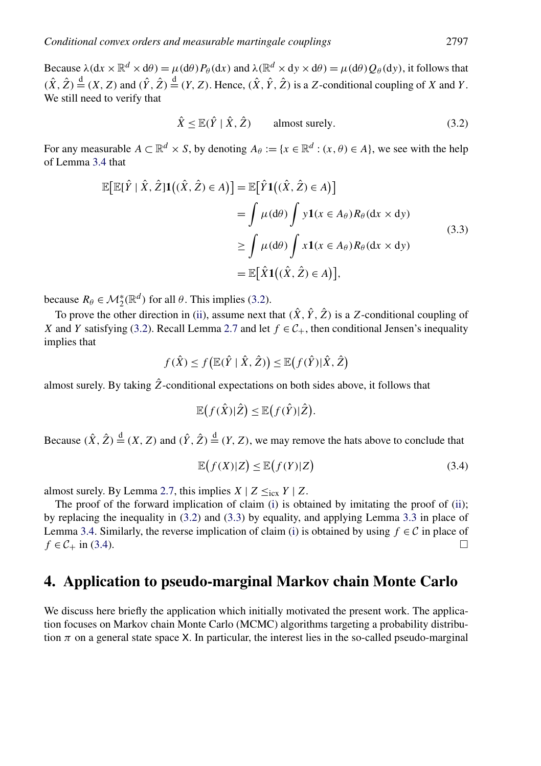<span id="page-14-0"></span>Because  $\lambda$   $(\mathrm{d}x \times \mathbb{R}^d \times \mathrm{d}\theta) = \mu(\mathrm{d}\theta)P_\theta(\mathrm{d}x)$  and  $\lambda(\mathbb{R}^d \times \mathrm{d}y \times \mathrm{d}\theta) = \mu(\mathrm{d}\theta)Q_\theta(\mathrm{d}y)$ , it follows that  $(\hat{X}, \hat{Z}) \stackrel{d}{=} (X, Z)$  and  $(\hat{Y}, \hat{Z}) \stackrel{d}{=} (Y, Z)$ . Hence,  $(\hat{X}, \hat{Y}, \hat{Z})$  is a *Z*-conditional coupling of *X* and *Y*. We still need to verify that

$$
\hat{X} \le \mathbb{E}(\hat{Y} \mid \hat{X}, \hat{Z}) \qquad \text{almost surely.} \tag{3.2}
$$

For any measurable  $A \subset \mathbb{R}^d \times S$ , by denoting  $A_\theta := \{x \in \mathbb{R}^d : (x, \theta) \in A\}$ , we see with the help of Lemma [3.4](#page-10-0) that

$$
\mathbb{E}[\mathbb{E}[\hat{Y} | \hat{X}, \hat{Z}] \mathbf{1}((\hat{X}, \hat{Z}) \in A)] = \mathbb{E}[\hat{Y} \mathbf{1}((\hat{X}, \hat{Z}) \in A)]
$$
  
\n
$$
= \int \mu(\mathrm{d}\theta) \int y \mathbf{1}(x \in A_{\theta}) R_{\theta}(\mathrm{d}x \times \mathrm{d}y)
$$
  
\n
$$
\geq \int \mu(\mathrm{d}\theta) \int x \mathbf{1}(x \in A_{\theta}) R_{\theta}(\mathrm{d}x \times \mathrm{d}y)
$$
  
\n
$$
= \mathbb{E}[\hat{X} \mathbf{1}((\hat{X}, \hat{Z}) \in A)],
$$
\n(3.3)

because  $R_{\theta} \in \mathcal{M}_2^*(\mathbb{R}^d)$  for all  $\theta$ . This implies (3.2).

To prove the other direction in [\(ii\)](#page-3-0), assume next that  $(\hat{X}, \hat{Y}, \hat{Z})$  is a *Z*-conditional coupling of *X* and *Y* satisfying (3.2). Recall Lemma [2.7](#page-8-0) and let  $f \in C_+$ , then conditional Jensen's inequality implies that

$$
f(\hat{X}) \le f\big(\mathbb{E}(\hat{Y} \mid \hat{X}, \hat{Z})\big) \le \mathbb{E}\big(f(\hat{Y}) \mid \hat{X}, \hat{Z}\big)
$$

almost surely. By taking  $\hat{Z}$ -conditional expectations on both sides above, it follows that

$$
\mathbb{E}\big(f(\hat{X})|\hat{Z}\big) \leq \mathbb{E}\big(f(\hat{Y})|\hat{Z}\big).
$$

Because  $(\hat{X}, \hat{Z}) \stackrel{d}{=} (X, Z)$  and  $(\hat{Y}, \hat{Z}) \stackrel{d}{=} (Y, Z)$ , we may remove the hats above to conclude that

$$
\mathbb{E}\big(f(X)|Z\big) \le \mathbb{E}\big(f(Y)|Z\big) \tag{3.4}
$$

almost surely. By Lemma [2.7,](#page-8-0) this implies  $X \mid Z \leq_{\text{icx}} Y \mid Z$ .

The proof of the forward implication of claim [\(i\)](#page-3-0) is obtained by imitating the proof of [\(ii\)](#page-3-0); by replacing the inequality in (3.2) and (3.3) by equality, and applying Lemma [3.3](#page-10-0) in place of Lemma [3.4.](#page-10-0) Similarly, the reverse implication of claim [\(i\)](#page-3-0) is obtained by using *f* ∈ *C* in place of *f* ∈ *C*<sub>*i*</sub> in (3.4)  $f \in C_+$  in (3.4).

## **4. Application to pseudo-marginal Markov chain Monte Carlo**

We discuss here briefly the application which initially motivated the present work. The application focuses on Markov chain Monte Carlo (MCMC) algorithms targeting a probability distribution  $\pi$  on a general state space X. In particular, the interest lies in the so-called pseudo-marginal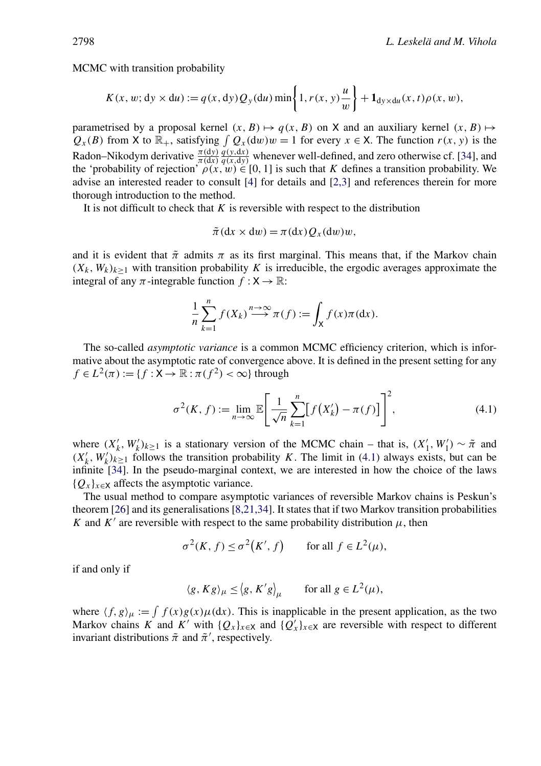MCMC with transition probability

$$
K(x, w; dy \times du) := q(x, dy) Q_y(du) \min \left\{ 1, r(x, y) \frac{u}{w} \right\} + \mathbf{1}_{dy \times du}(x, t) \rho(x, w),
$$

parametrised by a proposal kernel  $(x, B) \mapsto q(x, B)$  on X and an auxiliary kernel  $(x, B) \mapsto$  $Q_x(B)$  from X to  $\mathbb{R}_+$ , satisfying  $\int Q_x(dw)w = 1$  for every  $x \in X$ . The function  $r(x, y)$  is the Radon–Nikodym derivative *π(*d*y) π(*d*x)*  $q(x,dy)$  whenever well-defined, and zero otherwise cf. [\[34\]](#page-23-0), and  $q(x,dy)$ the 'probability of rejection'  $\rho(x,w) \in [0,1]$  is such that *K* defines a transition probability. We advise an interested reader to consult [\[4\]](#page-22-0) for details and [\[2,3\]](#page-22-0) and references therein for more thorough introduction to the method.

It is not difficult to check that *K* is reversible with respect to the distribution

$$
\tilde{\pi}(\mathrm{d}x \times \mathrm{d}w) = \pi(\mathrm{d}x) Q_x(\mathrm{d}w) w,
$$

and it is evident that  $\tilde{\pi}$  admits  $\pi$  as its first marginal. This means that, if the Markov chain  $(X_k, W_k)_{k>1}$  with transition probability *K* is irreducible, the ergodic averages approximate the integral of any  $\pi$ -integrable function  $f: X \to \mathbb{R}$ :

$$
\frac{1}{n}\sum_{k=1}^n f(X_k) \xrightarrow{n \to \infty} \pi(f) := \int_X f(x)\pi(\mathrm{d}x).
$$

The so-called *asymptotic variance* is a common MCMC efficiency criterion, which is informative about the asymptotic rate of convergence above. It is defined in the present setting for any  $f \in L^2(\pi) := \{f : X \to \mathbb{R} : \pi(f^2) < \infty\}$  through

$$
\sigma^2(K, f) := \lim_{n \to \infty} \mathbb{E} \left[ \frac{1}{\sqrt{n}} \sum_{k=1}^n \left[ f(X'_k) - \pi(f) \right] \right]^2, \tag{4.1}
$$

where  $(X'_k, W'_k)_{k \ge 1}$  is a stationary version of the MCMC chain – that is,  $(X'_1, W'_1) \sim \tilde{\pi}$  and  $(X'_k, W'_k)_{k\geq 1}$  follows the transition probability *K*. The limit in (4.1) always exists, but can be infinite [\[34\]](#page-23-0). In the pseudo-marginal context, we are interested in how the choice of the laws  ${Q_x}_{x \in X}$  affects the asymptotic variance.

The usual method to compare asymptotic variances of reversible Markov chains is Peskun's theorem [\[26\]](#page-23-0) and its generalisations [\[8,21,34\]](#page-22-0). It states that if two Markov transition probabilities *K* and *K'* are reversible with respect to the same probability distribution  $\mu$ , then

$$
\sigma^2(K, f) \le \sigma^2(K', f)
$$
 for all  $f \in L^2(\mu)$ ,

if and only if

$$
\langle g, Kg \rangle_{\mu} \le \langle g, K'g \rangle_{\mu}
$$
 for all  $g \in L^2(\mu)$ ,

where  $\langle f, g \rangle_{\mu} := \int f(x)g(x)\mu(dx)$ . This is inapplicable in the present application, as the two Markov chains *K* and *K'* with  $\{Q_x\}_{x \in X}$  and  $\{Q'_x\}_{x \in X}$  are reversible with respect to different invariant distributions  $\tilde{\pi}$  and  $\tilde{\pi}'$ , respectively.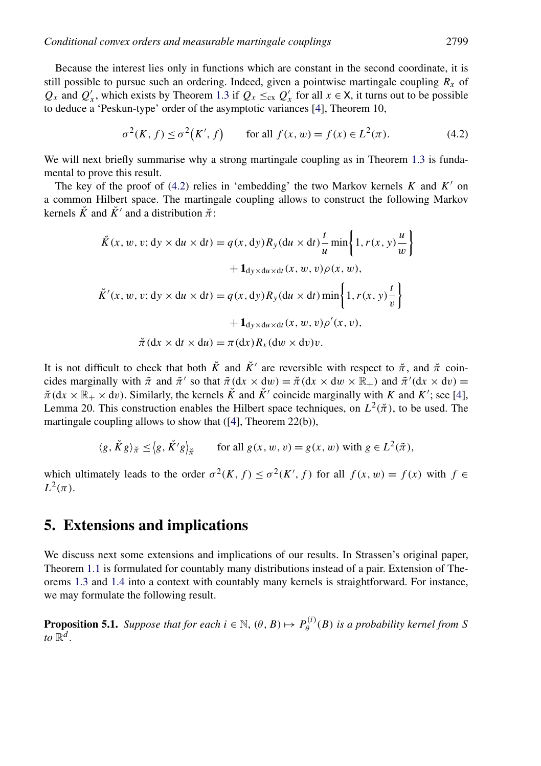<span id="page-16-0"></span>Because the interest lies only in functions which are constant in the second coordinate, it is still possible to pursue such an ordering. Indeed, given a pointwise martingale coupling  $R<sub>x</sub>$  of  $Q_x$  and  $Q'_x$ , which exists by Theorem [1.3](#page-3-0) if  $Q_x \leq_{cx} Q'_x$  for all  $x \in X$ , it turns out to be possible to deduce a 'Peskun-type' order of the asymptotic variances [\[4\]](#page-22-0), Theorem 10,

$$
\sigma^2(K, f) \le \sigma^2(K', f)
$$
 for all  $f(x, w) = f(x) \in L^2(\pi)$ . (4.2)

We will next briefly summarise why a strong martingale coupling as in Theorem [1.3](#page-3-0) is fundamental to prove this result.

The key of the proof of  $(4.2)$  relies in 'embedding' the two Markov kernels *K* and *K'* on a common Hilbert space. The martingale coupling allows to construct the following Markov kernels  $\check{K}$  and  $\check{K}'$  and a distribution  $\check{\pi}$ .

$$
\tilde{K}(x, w, v; dy \times du \times dt) = q(x, dy)R_y(du \times dt) \frac{t}{u} \min\left\{1, r(x, y) \frac{u}{w}\right\}
$$

$$
+ \mathbf{1}_{dy \times du \times dt}(x, w, v)\rho(x, w),
$$

$$
\tilde{K}'(x, w, v; dy \times du \times dt) = q(x, dy)R_y(du \times dt) \min\left\{1, r(x, y) \frac{t}{v}\right\}
$$

$$
+ \mathbf{1}_{dy \times du \times dt}(x, w, v)\rho'(x, v),
$$

$$
\tilde{\pi}(dx \times dt \times du) = \pi(dx)R_x(du \times dv)v.
$$

It is not difficult to check that both  $\tilde{K}$  and  $\tilde{K}'$  are reversible with respect to  $\tilde{\pi}$ , and  $\tilde{\pi}$  coincides marginally with  $\tilde{\pi}$  and  $\tilde{\pi}'$  so that  $\tilde{\pi}(dx \times dw) = \tilde{\pi}(dx \times dw \times \mathbb{R}_+)$  and  $\tilde{\pi}'(dx \times dv) =$  $\pi$ (dx  $\times \mathbb{R}_+ \times$  dv). Similarly, the kernels  $\check{K}$  and  $\check{K}'$  coincide marginally with *K* and *K'*; see [\[4\]](#page-22-0), Lemma 20. This construction enables the Hilbert space techniques, on  $L^2(\pi)$ , to be used. The martingale coupling allows to show that ([\[4\]](#page-22-0), Theorem 22(b)),

$$
\langle g, \check{K}g \rangle_{\check{\pi}} \leq \langle g, \check{K}'g \rangle_{\check{\pi}} \quad \text{for all } g(x, w, v) = g(x, w) \text{ with } g \in L^2(\tilde{\pi}),
$$

which ultimately leads to the order  $\sigma^2(K, f) \leq \sigma^2(K', f)$  for all  $f(x, w) = f(x)$  with  $f \in$  $L^2(\pi)$ .

## **5. Extensions and implications**

We discuss next some extensions and implications of our results. In Strassen's original paper, Theorem [1.1](#page-2-0) is formulated for countably many distributions instead of a pair. Extension of Theorems [1.3](#page-3-0) and [1.4](#page-3-0) into a context with countably many kernels is straightforward. For instance, we may formulate the following result.

**Proposition 5.1.** *Suppose that for each*  $i \in \mathbb{N}$ ,  $(\theta, B) \mapsto P_{\theta}^{(i)}(B)$  *is a probability kernel from S to*  $\mathbb{R}^d$ .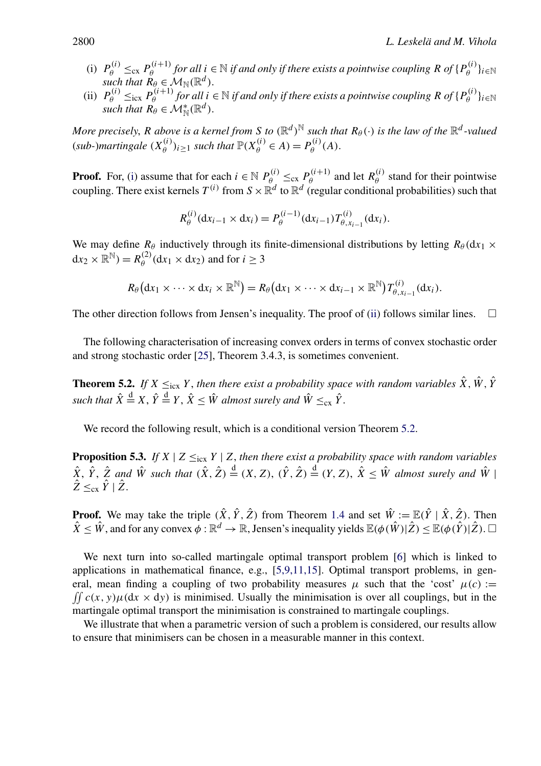- (i)  $P_{\theta}^{(i)} \leq_{\text{cx}} P_{\theta}^{(i+1)}$  *for all*  $i \in \mathbb{N}$  *if and only if there exists a pointwise coupling*  $R$  *of*  $\{P_{\theta}^{(i)}\}_{i \in \mathbb{N}}$ *such that*  $\mathbf{R}_{\theta} \in \mathcal{M}_{\mathbb{N}}(\mathbb{R}^d)$ .
- (ii)  $P_{\theta}^{(i)} \leq_{\text{icx}} P_{\theta}^{(i+1)}$  *for all*  $i \in \mathbb{N}$  *if and only if there exists a pointwise coupling*  $R$  *of*  $\{P_{\theta}^{(i)}\}_{i \in \mathbb{N}}$ *such that*  $\mathbf{R}_{\theta} \in \mathcal{M}_{\mathbb{N}}^*(\mathbb{R}^d)$ .

*More precisely, R above is a kernel from S to*  $(\mathbb{R}^d)^{\mathbb{N}}$  *such that*  $R_{\theta}(\cdot)$  *is the law of the*  $\mathbb{R}^d$ *-valued*  $(sub-)martingale (X_{\theta}^{(i)})_{i \geq 1}$  *such that*  $\mathbb{P}(X_{\theta}^{(i)} \in A) = P_{\theta}^{(i)}(A)$ .

**Proof.** For, (i) assume that for each  $i \in \mathbb{N}$   $P_{\theta}^{(i)} \leq_{\text{cx}} P_{\theta}^{(i+1)}$  and let  $R_{\theta}^{(i)}$  stand for their pointwise coupling. There exist kernels  $T^{(i)}$  from  $S \times \mathbb{R}^d$  to  $\mathbb{R}^d$  (regular conditional probabilities) such that

$$
R_{\theta}^{(i)}(\mathrm{d}x_{i-1}\times\mathrm{d}x_i)=P_{\theta}^{(i-1)}(\mathrm{d}x_{i-1})T_{\theta,x_{i-1}}^{(i)}(\mathrm{d}x_i).
$$

We may define  $R_\theta$  inductively through its finite-dimensional distributions by letting  $R_\theta$  ( $dx_1$  ×  $dx_2 \times \mathbb{R}^{\mathbb{N}}$ ) =  $R_{\theta}^{(2)}(dx_1 \times dx_2)$  and for  $i \ge 3$ 

$$
R_{\theta}(\mathrm{d}x_1\times\cdots\times\mathrm{d}x_i\times\mathbb{R}^{\mathbb{N}})=R_{\theta}(\mathrm{d}x_1\times\cdots\times\mathrm{d}x_{i-1}\times\mathbb{R}^{\mathbb{N}})T_{\theta,x_{i-1}}^{(i)}(\mathrm{d}x_i).
$$

The other direction follows from Jensen's inequality. The proof of (ii) follows similar lines.  $\Box$ 

The following characterisation of increasing convex orders in terms of convex stochastic order and strong stochastic order [\[25\]](#page-23-0), Theorem 3.4.3, is sometimes convenient.

**Theorem 5.2.** *If*  $X \leq_{\text{icx}} Y$ , *then there exist a probability space with random variables*  $\hat{X}$ ,  $\hat{W}$ ,  $\hat{Y}$ such that  $\hat{X} \stackrel{d}{=} X$ ,  $\hat{Y} \stackrel{d}{=} Y$ ,  $\hat{X} \leq \hat{W}$  almost surely and  $\hat{W} \leq_{\text{cx}} \hat{Y}$ .

We record the following result, which is a conditional version Theorem 5.2.

**Proposition 5.3.** *If*  $X \mid Z \leq_{\text{icx}} Y \mid Z$ , *then there exist a probability space with random variables*  $\hat{X}$ ,  $\hat{Y}$ ,  $\hat{Z}$  and  $\hat{W}$  such that  $(\hat{X}, \hat{Z}) \stackrel{d}{=} (X, Z)$ ,  $(\hat{Y}, \hat{Z}) \stackrel{d}{=} (Y, Z)$ ,  $\hat{X} \leq \hat{W}$  almost surely and  $\hat{W}$  $\hat{Z} \leq_{\text{cx}} \hat{Y} \mid \hat{Z}$ .

**Proof.** We may take the triple  $(\hat{X}, \hat{Y}, \hat{Z})$  from Theorem [1.4](#page-3-0) and set  $\hat{W} := \mathbb{E}(\hat{Y} | \hat{X}, \hat{Z})$ . Then  $\hat{X} \leq \hat{W}$ , and for any convex  $\phi : \mathbb{R}^d \to \mathbb{R}$ , Jensen's inequality yields  $\mathbb{E}(\phi(\hat{W})|\hat{Z}) \leq \mathbb{E}(\phi(\hat{Y})|\hat{Z})$ .  $\Box$ 

We next turn into so-called martingale optimal transport problem [\[6\]](#page-22-0) which is linked to applications in mathematical finance, e.g., [\[5,9,11,15\]](#page-22-0). Optimal transport problems, in general, mean finding a coupling of two probability measures  $\mu$  such that the 'cost'  $\mu(c)$  :=  $\int \int c(x, y) \mu(dx \times dy)$  is minimised. Usually the minimisation is over all couplings, but in the martingale optimal transport the minimisation is constrained to martingale couplings.

We illustrate that when a parametric version of such a problem is considered, our results allow to ensure that minimisers can be chosen in a measurable manner in this context.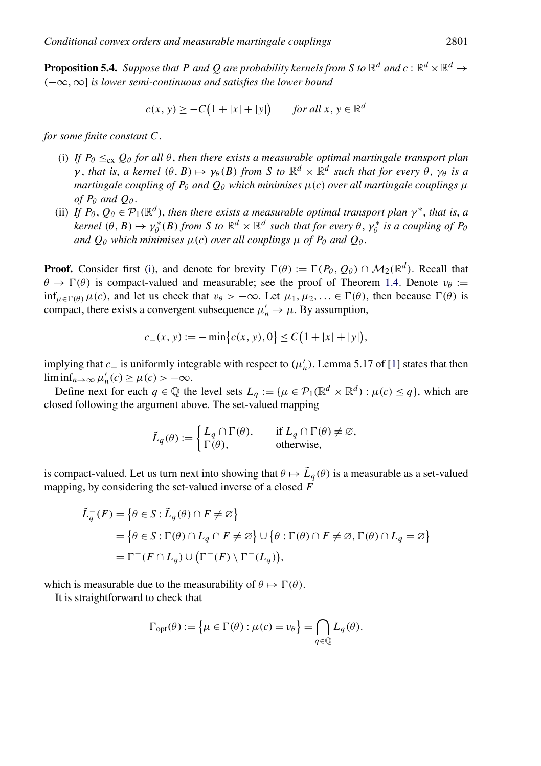<span id="page-18-0"></span>**Proposition 5.4.** *Suppose that P and Q are probability kernels from S to*  $\mathbb{R}^d$  *and*  $c : \mathbb{R}^d \times \mathbb{R}^d \to$ *(*−∞*,*∞] *is lower semi-continuous and satisfies the lower bound*

$$
c(x, y) \geq -C\left(1 + |x| + |y|\right) \quad \text{for all } x, y \in \mathbb{R}^d
$$

*for some finite constant C*.

- (i) If  $P_\theta \leq_{\text{cx}} Q_\theta$  for all  $\theta$ , then there exists a measurable optimal martingale transport plan *γ*, *that is, a kernel*  $(θ, B) \mapsto \gamma_{\theta}(B)$  *from S to*  $\mathbb{R}^{d} \times \mathbb{R}^{d}$  *such that for every*  $\theta$ ,  $\gamma_{\theta}$  *is a martingale coupling of*  $P_\theta$  *and*  $Q_\theta$  *which minimises*  $\mu(c)$  *over all martingale couplings*  $\mu$ *of*  $P_{\theta}$  *and*  $Q_{\theta}$ .
- (ii) *If*  $P_\theta$ ,  $Q_\theta \in \mathcal{P}_1(\mathbb{R}^d)$ , *then there exists a measurable optimal transport plan*  $\gamma^*$ , *that is, a kernel*  $(\theta, B) \mapsto \gamma_{\theta}^{*}(B)$  *from S to*  $\mathbb{R}^{d} \times \mathbb{R}^{d}$  *such that for every*  $\theta$ ,  $\gamma_{\theta}^{*}$  *is a coupling of*  $P_{\theta}$ *and*  $Q_{\theta}$  *which minimises*  $\mu(c)$  *over all couplings*  $\mu$  *of*  $P_{\theta}$  *and*  $Q_{\theta}$ .

**Proof.** Consider first (i), and denote for brevity  $\Gamma(\theta) := \Gamma(P_{\theta}, Q_{\theta}) \cap M_2(\mathbb{R}^d)$ . Recall that  $\theta \to \Gamma(\theta)$  is compact-valued and measurable; see the proof of Theorem [1.4.](#page-3-0) Denote  $v_{\theta}$  :=  $\inf_{\mu \in \Gamma(\theta)} \mu(c)$ , and let us check that  $v_{\theta} > -\infty$ . Let  $\mu_1, \mu_2, \dots \in \Gamma(\theta)$ , then because  $\Gamma(\theta)$  is compact, there exists a convergent subsequence  $\mu'_n \to \mu$ . By assumption,

$$
c_{-}(x, y) := -\min\{c(x, y), 0\} \le C(1 + |x| + |y|),
$$

implying that  $c_$  is uniformly integrable with respect to  $(\mu'_n)$ . Lemma 5.17 of [\[1\]](#page-22-0) states that then  $\liminf_{n\to\infty}\mu'_n(c)\geq\mu(c)>-\infty.$ 

Define next for each  $q \in \mathbb{Q}$  the level sets  $L_q := \{ \mu \in \mathcal{P}_1(\mathbb{R}^d \times \mathbb{R}^d) : \mu(c) \leq q \}$ , which are closed following the argument above. The set-valued mapping

$$
\tilde{L}_q(\theta) := \begin{cases} L_q \cap \Gamma(\theta), & \text{if } L_q \cap \Gamma(\theta) \neq \emptyset, \\ \Gamma(\theta), & \text{otherwise,} \end{cases}
$$

is compact-valued. Let us turn next into showing that  $\theta \mapsto L_q(\theta)$  is a measurable as a set-valued mapping, by considering the set-valued inverse of a closed *F*

$$
\tilde{L}_q^-(F) = \{ \theta \in S : \tilde{L}_q(\theta) \cap F \neq \emptyset \}
$$
  
=  $\{ \theta \in S : \Gamma(\theta) \cap L_q \cap F \neq \emptyset \} \cup \{ \theta : \Gamma(\theta) \cap F \neq \emptyset, \Gamma(\theta) \cap L_q = \emptyset \}$   
=  $\Gamma^-(F \cap L_q) \cup (\Gamma^-(F) \setminus \Gamma^-(L_q)),$ 

which is measurable due to the measurability of  $\theta \mapsto \Gamma(\theta)$ .

It is straightforward to check that

$$
\Gamma_{\text{opt}}(\theta) := \left\{ \mu \in \Gamma(\theta) : \mu(c) = v_{\theta} \right\} = \bigcap_{q \in \mathbb{Q}} L_q(\theta).
$$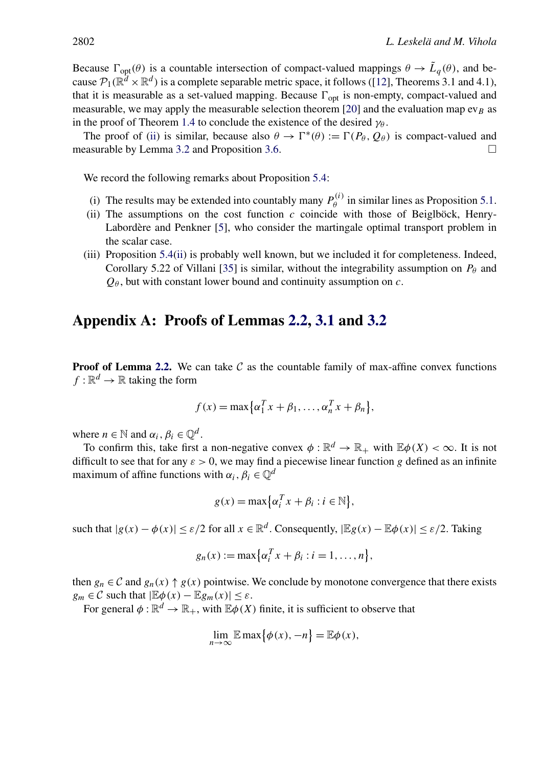<span id="page-19-0"></span>Because  $\Gamma_{opt}(\theta)$  is a countable intersection of compact-valued mappings  $\theta \to \tilde{L}_q(\theta)$ , and because  $\mathcal{P}_1(\mathbb{R}^d \times \mathbb{R}^d)$  is a complete separable metric space, it follows ([\[12\]](#page-23-0), Theorems 3.1 and 4.1), that it is measurable as a set-valued mapping. Because  $\Gamma_{opt}$  is non-empty, compact-valued and measurable, we may apply the measurable selection theorem [\[20\]](#page-23-0) and the evaluation map  $ev_B$  as in the proof of Theorem [1.4](#page-3-0) to conclude the existence of the desired  $\gamma_{\theta}$ .

The proof of [\(ii\)](#page-18-0) is similar, because also  $\theta \to \Gamma^*(\theta) := \Gamma(P_\theta, Q_\theta)$  is compact-valued and measurable by Lemma [3.2](#page-9-0) and Proposition [3.6.](#page-11-0)  $\Box$ 

We record the following remarks about Proposition [5.4:](#page-18-0)

- (i) The results may be extended into countably many  $P_{\theta}^{(i)}$  in similar lines as Proposition [5.1.](#page-16-0)
- (ii) The assumptions on the cost function *c* coincide with those of Beiglböck, Henry-Labordère and Penkner [\[5\]](#page-22-0), who consider the martingale optimal transport problem in the scalar case.
- (iii) Proposition [5.4\(ii\)](#page-18-0) is probably well known, but we included it for completeness. Indeed, Corollary 5.22 of Villani [\[35\]](#page-23-0) is similar, without the integrability assumption on  $P_\theta$  and *Qθ* , but with constant lower bound and continuity assumption on *c*.

## **Appendix A: Proofs of Lemmas [2.2,](#page-5-0) [3.1](#page-9-0) and [3.2](#page-9-0)**

**Proof of Lemma [2.2.](#page-5-0)** We can take  $C$  as the countable family of max-affine convex functions  $f: \mathbb{R}^d \to \mathbb{R}$  taking the form

$$
f(x) = \max\{\alpha_1^T x + \beta_1, \dots, \alpha_n^T x + \beta_n\},\
$$

where  $n \in \mathbb{N}$  and  $\alpha_i, \beta_i \in \mathbb{Q}^d$ .

To confirm this, take first a non-negative convex  $\phi : \mathbb{R}^d \to \mathbb{R}_+$  with  $\mathbb{E}\phi(X) < \infty$ . It is not difficult to see that for any  $\varepsilon > 0$ , we may find a piecewise linear function g defined as an infinite maximum of affine functions with  $\alpha_i, \beta_i \in \mathbb{Q}^d$ 

$$
g(x) = \max\{\alpha_i^T x + \beta_i : i \in \mathbb{N}\},\
$$

such that  $|g(x) - \phi(x)| \le \varepsilon/2$  for all  $x \in \mathbb{R}^d$ . Consequently,  $|\mathbb{E}g(x) - \mathbb{E} \phi(x)| \le \varepsilon/2$ . Taking

$$
g_n(x) := \max\bigl\{\alpha_i^T x + \beta_i : i = 1, \ldots, n\bigr\},\,
$$

then  $g_n \in \mathcal{C}$  and  $g_n(x) \uparrow g(x)$  pointwise. We conclude by monotone convergence that there exists  $g_m \in \mathcal{C}$  such that  $|\mathbb{E}\phi(x) - \mathbb{E}g_m(x)| \leq \varepsilon$ .

For general  $\phi : \mathbb{R}^d \to \mathbb{R}_+$ , with  $\mathbb{E}\phi(X)$  finite, it is sufficient to observe that

$$
\lim_{n \to \infty} \mathbb{E} \max \{ \phi(x), -n \} = \mathbb{E} \phi(x),
$$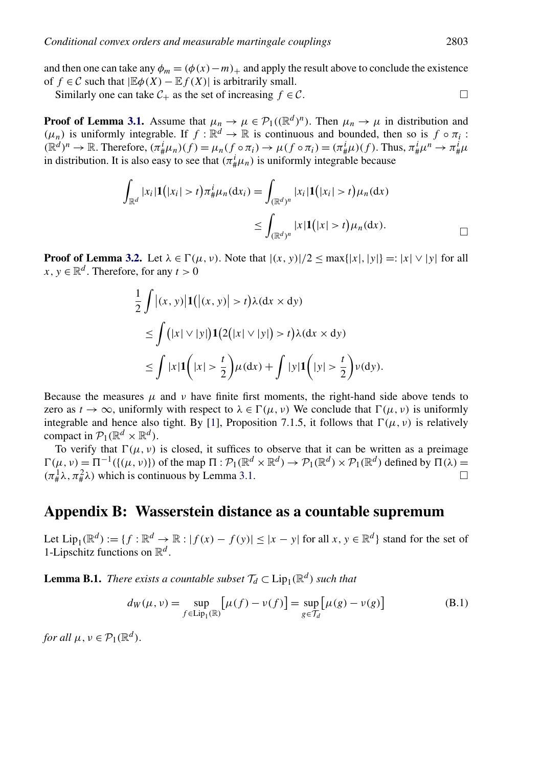<span id="page-20-0"></span>and then one can take any  $\phi_m = (\phi(x) - m)_+$  and apply the result above to conclude the existence of *f* ∈ C such that  $|\mathbb{E}\phi(X) - \mathbb{E}f(X)|$  is arbitrarily small.

Similarly one can take  $C_+$  as the set of increasing  $f \in C$ .

**Proof of Lemma [3.1.](#page-9-0)** Assume that  $\mu_n \to \mu \in \mathcal{P}_1((\mathbb{R}^d)^n)$ . Then  $\mu_n \to \mu$  in distribution and  $(\mu_n)$  is uniformly integrable. If  $f : \mathbb{R}^d \to \mathbb{R}$  is continuous and bounded, then so is  $f \circ \pi_i$ :  $(\mathbb{R}^d)^n \to \mathbb{R}$ . Therefore,  $(\pi^i_\# \mu_n)(f) = \mu_n(f \circ \pi_i) \to \mu(f \circ \pi_i) = (\pi^i_\# \mu)(f)$ . Thus,  $\pi^i_\# \mu^n \to \pi^i_\# \mu$ in distribution. It is also easy to see that  $(\pi^i_\# \mu_n)$  is uniformly integrable because

$$
\int_{\mathbb{R}^d} |x_i| \mathbf{1}(|x_i| > t) \pi^i_{\#} \mu_n(\mathrm{d}x_i) = \int_{(\mathbb{R}^d)^n} |x_i| \mathbf{1}(|x_i| > t) \mu_n(\mathrm{d}x)
$$
\n
$$
\leq \int_{(\mathbb{R}^d)^n} |x| \mathbf{1}(|x| > t) \mu_n(\mathrm{d}x).
$$

**Proof of Lemma [3.2.](#page-9-0)** Let  $\lambda \in \Gamma(\mu, \nu)$ . Note that  $|(x, y)|/2 \le \max\{|x|, |y|\} =: |x| \vee |y|$  for all  $x, y \in \mathbb{R}^d$ . Therefore, for any  $t > 0$ 

$$
\frac{1}{2} \int |(x, y)| \mathbf{1}(|(x, y)| > t) \lambda(\mathrm{d}x \times \mathrm{d}y)
$$
\n
$$
\leq \int (|x| \vee |y|) \mathbf{1} (2(|x| \vee |y|) > t) \lambda(\mathrm{d}x \times \mathrm{d}y)
$$
\n
$$
\leq \int |x| \mathbf{1} (|x| > \frac{t}{2}) \mu(\mathrm{d}x) + \int |y| \mathbf{1} (|y| > \frac{t}{2}) \nu(\mathrm{d}y).
$$

Because the measures  $\mu$  and  $\nu$  have finite first moments, the right-hand side above tends to zero as  $t \to \infty$ , uniformly with respect to  $\lambda \in \Gamma(\mu, \nu)$  We conclude that  $\Gamma(\mu, \nu)$  is uniformly integrable and hence also tight. By [\[1\]](#page-22-0), Proposition 7.1.5, it follows that  $\Gamma(\mu, \nu)$  is relatively compact in  $\mathcal{P}_1(\mathbb{R}^d \times \mathbb{R}^d)$ .

To verify that  $\Gamma(\mu, \nu)$  is closed, it suffices to observe that it can be written as a preimage  $\Gamma(\mu, \nu) = \Pi^{-1}(\{(\mu, \nu)\})$  of the map  $\Pi : \mathcal{P}_1(\mathbb{R}^d \times \mathbb{R}^d) \to \mathcal{P}_1(\mathbb{R}^d) \times \mathcal{P}_1(\mathbb{R}^d)$  defined by  $\Pi(\lambda) =$  $(\pi^1_\# \lambda, \pi^2_\# \lambda)$  which is continuous by Lemma [3.1.](#page-9-0)  $\Box$ 

## **Appendix B: Wasserstein distance as a countable supremum**

Let  $Lip_1(\mathbb{R}^d) := \{f : \mathbb{R}^d \to \mathbb{R} : |f(x) - f(y)| \le |x - y| \text{ for all } x, y \in \mathbb{R}^d\}$  stand for the set of 1-Lipschitz functions on  $\mathbb{R}^d$ .

**Lemma B.1.** *There exists a countable subset*  $\mathcal{T}_d \subset \text{Lip}_1(\mathbb{R}^d)$  *such that* 

$$
d_W(\mu, \nu) = \sup_{f \in \text{Lip}_1(\mathbb{R})} \left[ \mu(f) - \nu(f) \right] = \sup_{g \in \mathcal{T}_d} \left[ \mu(g) - \nu(g) \right] \tag{B.1}
$$

*for all*  $\mu, \nu \in \mathcal{P}_1(\mathbb{R}^d)$ .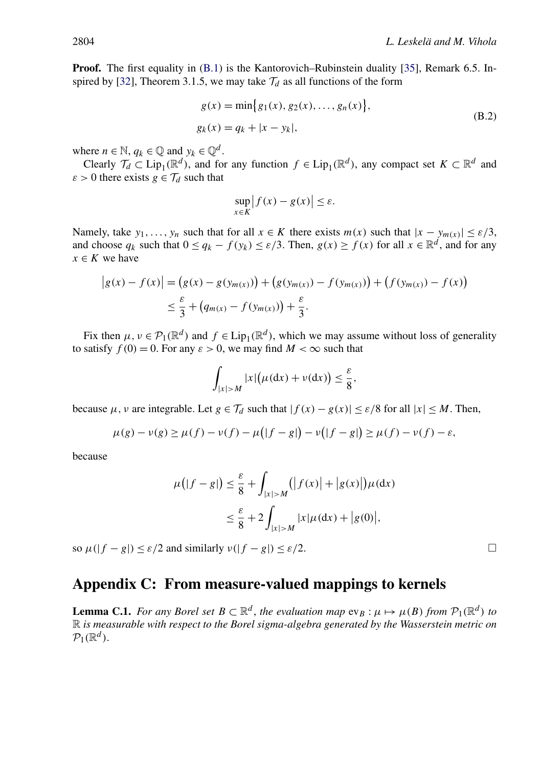<span id="page-21-0"></span>**Proof.** The first equality in [\(B.1\)](#page-20-0) is the Kantorovich–Rubinstein duality [\[35\]](#page-23-0), Remark 6.5. In-spired by [\[32\]](#page-23-0), Theorem 3.1.5, we may take  $\mathcal{T}_d$  as all functions of the form

$$
g(x) = \min\{g_1(x), g_2(x), \dots, g_n(x)\},
$$
  
\n
$$
g_k(x) = q_k + |x - y_k|,
$$
\n(B.2)

where  $n \in \mathbb{N}$ ,  $q_k \in \mathbb{Q}$  and  $y_k \in \mathbb{Q}^d$ .

Clearly  $\mathcal{T}_d \subset \text{Lip}_1(\mathbb{R}^d)$ , and for any function  $f \in \text{Lip}_1(\mathbb{R}^d)$ , any compact set  $K \subset \mathbb{R}^d$  and  $\varepsilon > 0$  there exists  $g \in \mathcal{T}_d$  such that

$$
\sup_{x \in K} |f(x) - g(x)| \le \varepsilon.
$$

Namely, take *y*<sub>1</sub>*,..., y<sub>n</sub>* such that for all  $x \in K$  there exists  $m(x)$  such that  $|x - y_{m(x)}| \le \varepsilon/3$ , and choose  $q_k$  such that  $0 \leq q_k - f(y_k) \leq \varepsilon/3$ . Then,  $g(x) \geq f(x)$  for all  $x \in \mathbb{R}^d$ , and for any  $x \in K$  we have

$$
|g(x) - f(x)| = (g(x) - g(y_{m(x)})) + (g(y_{m(x)}) - f(y_{m(x)})) + (f(y_{m(x)}) - f(x))
$$
  

$$
\leq \frac{\varepsilon}{3} + (q_{m(x)} - f(y_{m(x)})) + \frac{\varepsilon}{3}.
$$

Fix then  $\mu, \nu \in \mathcal{P}_1(\mathbb{R}^d)$  and  $f \in Lip_1(\mathbb{R}^d)$ , which we may assume without loss of generality to satisfy  $f(0) = 0$ . For any  $\varepsilon > 0$ , we may find  $M < \infty$  such that

$$
\int_{|x|>M} |x| \big(\mu(\mathrm{d} x)+\nu(\mathrm{d} x)\big)\leq \frac{\varepsilon}{8},
$$

because  $\mu$ ,  $\nu$  are integrable. Let  $g \in \mathcal{T}_d$  such that  $|f(x) - g(x)| \le \varepsilon/8$  for all  $|x| \le M$ . Then,

$$
\mu(g) - \nu(g) \ge \mu(f) - \nu(f) - \mu(|f - g|) - \nu(|f - g|) \ge \mu(f) - \nu(f) - \varepsilon,
$$

because

$$
\mu(|f - g|) \le \frac{\varepsilon}{8} + \int_{|x| > M} (|f(x)| + |g(x)|) \mu(dx)
$$
  

$$
\le \frac{\varepsilon}{8} + 2 \int_{|x| > M} |x| \mu(dx) + |g(0)|,
$$

so  $\mu(|f - g|) \leq \varepsilon/2$  and similarly  $\nu(|f - g|) \leq \varepsilon/2$ .

## **Appendix C: From measure-valued mappings to kernels**

**Lemma C.1.** *For any Borel set*  $B \subset \mathbb{R}^d$ , *the evaluation map*  $ev_B : \mu \mapsto \mu(B)$  *from*  $\mathcal{P}_1(\mathbb{R}^d)$  *to* R *is measurable with respect to the Borel sigma-algebra generated by the Wasserstein metric on*  $\mathcal{P}_1(\mathbb{R}^d)$ .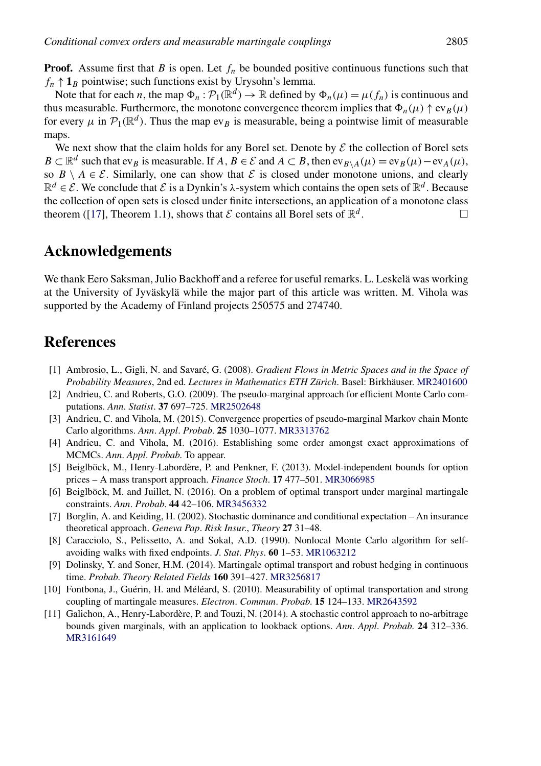<span id="page-22-0"></span>**Proof.** Assume first that *B* is open. Let  $f_n$  be bounded positive continuous functions such that  $f_n \uparrow \mathbf{1}_B$  pointwise; such functions exist by Urysohn's lemma.

Note that for each *n*, the map  $\Phi_n : \mathcal{P}_1(\mathbb{R}^d) \to \mathbb{R}$  defined by  $\Phi_n(\mu) = \mu(f_n)$  is continuous and thus measurable. Furthermore, the monotone convergence theorem implies that  $\Phi_n(\mu) \uparrow \text{ev}_B(\mu)$ for every  $\mu$  in  $\mathcal{P}_1(\mathbb{R}^d)$ . Thus the map ev<sub>B</sub> is measurable, being a pointwise limit of measurable maps.

We next show that the claim holds for any Borel set. Denote by  $\mathcal E$  the collection of Borel sets  $B \subset \mathbb{R}^d$  such that ev<sub>B</sub> is measurable. If *A*,  $B \in \mathcal{E}$  and  $A \subset B$ , then ev<sub>B\A</sub>( $\mu$ ) = ev<sub>B</sub>( $\mu$ ) – ev<sub>A</sub>( $\mu$ ), so  $B \setminus A \in \mathcal{E}$ . Similarly, one can show that  $\mathcal E$  is closed under monotone unions, and clearly  $\mathbb{R}^d \in \mathcal{E}$ . We conclude that  $\mathcal{E}$  is a Dynkin's  $\lambda$ -system which contains the open sets of  $\mathbb{R}^d$ . Because the collection of open sets is closed under finite intersections, an application of a monotone class theorem ([\[17\]](#page-23-0), Theorem 1.1), shows that  $\mathcal E$  contains all Borel sets of  $\mathbb R^d$ .

## **Acknowledgements**

We thank Eero Saksman, Julio Backhoff and a referee for useful remarks. L. Leskelä was working at the University of Jyväskylä while the major part of this article was written. M. Vihola was supported by the Academy of Finland projects 250575 and 274740.

## **References**

- [1] Ambrosio, L., Gigli, N. and Savaré, G. (2008). *Gradient Flows in Metric Spaces and in the Space of Probability Measures*, 2nd ed. *Lectures in Mathematics ETH Zürich*. Basel: Birkhäuser. [MR2401600](http://www.ams.org/mathscinet-getitem?mr=2401600)
- [2] Andrieu, C. and Roberts, G.O. (2009). The pseudo-marginal approach for efficient Monte Carlo computations. *Ann*. *Statist*. **37** 697–725. [MR2502648](http://www.ams.org/mathscinet-getitem?mr=2502648)
- [3] Andrieu, C. and Vihola, M. (2015). Convergence properties of pseudo-marginal Markov chain Monte Carlo algorithms. *Ann*. *Appl*. *Probab*. **25** 1030–1077. [MR3313762](http://www.ams.org/mathscinet-getitem?mr=3313762)
- [4] Andrieu, C. and Vihola, M. (2016). Establishing some order amongst exact approximations of MCMCs. *Ann*. *Appl*. *Probab*. To appear.
- [5] Beiglböck, M., Henry-Labordère, P. and Penkner, F. (2013). Model-independent bounds for option prices – A mass transport approach. *Finance Stoch*. **17** 477–501. [MR3066985](http://www.ams.org/mathscinet-getitem?mr=3066985)
- [6] Beiglböck, M. and Juillet, N. (2016). On a problem of optimal transport under marginal martingale constraints. *Ann*. *Probab*. **44** 42–106. [MR3456332](http://www.ams.org/mathscinet-getitem?mr=3456332)
- [7] Borglin, A. and Keiding, H. (2002). Stochastic dominance and conditional expectation An insurance theoretical approach. *Geneva Pap*. *Risk Insur*., *Theory* **27** 31–48.
- [8] Caracciolo, S., Pelissetto, A. and Sokal, A.D. (1990). Nonlocal Monte Carlo algorithm for selfavoiding walks with fixed endpoints. *J*. *Stat*. *Phys*. **60** 1–53. [MR1063212](http://www.ams.org/mathscinet-getitem?mr=1063212)
- [9] Dolinsky, Y. and Soner, H.M. (2014). Martingale optimal transport and robust hedging in continuous time. *Probab*. *Theory Related Fields* **160** 391–427. [MR3256817](http://www.ams.org/mathscinet-getitem?mr=3256817)
- [10] Fontbona, J., Guérin, H. and Méléard, S. (2010). Measurability of optimal transportation and strong coupling of martingale measures. *Electron*. *Commun*. *Probab*. **15** 124–133. [MR2643592](http://www.ams.org/mathscinet-getitem?mr=2643592)
- [11] Galichon, A., Henry-Labordère, P. and Touzi, N. (2014). A stochastic control approach to no-arbitrage bounds given marginals, with an application to lookback options. *Ann*. *Appl*. *Probab*. **24** 312–336. [MR3161649](http://www.ams.org/mathscinet-getitem?mr=3161649)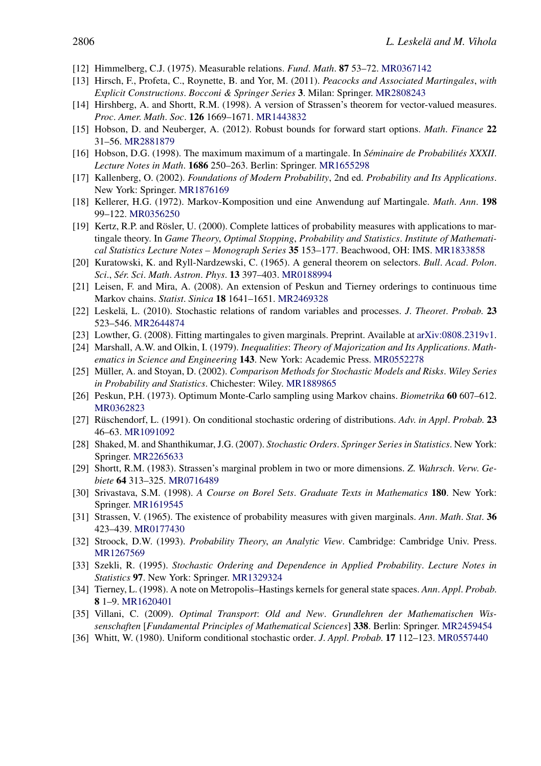- <span id="page-23-0"></span>[12] Himmelberg, C.J. (1975). Measurable relations. *Fund*. *Math*. **87** 53–72. [MR0367142](http://www.ams.org/mathscinet-getitem?mr=0367142)
- [13] Hirsch, F., Profeta, C., Roynette, B. and Yor, M. (2011). *Peacocks and Associated Martingales*, *with Explicit Constructions*. *Bocconi & Springer Series* **3**. Milan: Springer. [MR2808243](http://www.ams.org/mathscinet-getitem?mr=2808243)
- [14] Hirshberg, A. and Shortt, R.M. (1998). A version of Strassen's theorem for vector-valued measures. *Proc*. *Amer*. *Math*. *Soc*. **126** 1669–1671. [MR1443832](http://www.ams.org/mathscinet-getitem?mr=1443832)
- [15] Hobson, D. and Neuberger, A. (2012). Robust bounds for forward start options. *Math*. *Finance* **22** 31–56. [MR2881879](http://www.ams.org/mathscinet-getitem?mr=2881879)
- [16] Hobson, D.G. (1998). The maximum maximum of a martingale. In *Séminaire de Probabilités XXXII*. *Lecture Notes in Math*. **1686** 250–263. Berlin: Springer. [MR1655298](http://www.ams.org/mathscinet-getitem?mr=1655298)
- [17] Kallenberg, O. (2002). *Foundations of Modern Probability*, 2nd ed. *Probability and Its Applications*. New York: Springer. [MR1876169](http://www.ams.org/mathscinet-getitem?mr=1876169)
- [18] Kellerer, H.G. (1972). Markov-Komposition und eine Anwendung auf Martingale. *Math*. *Ann*. **198** 99–122. [MR0356250](http://www.ams.org/mathscinet-getitem?mr=0356250)
- [19] Kertz, R.P. and Rösler, U. (2000). Complete lattices of probability measures with applications to martingale theory. In *Game Theory*, *Optimal Stopping*, *Probability and Statistics*. *Institute of Mathematical Statistics Lecture Notes – Monograph Series* **35** 153–177. Beachwood, OH: IMS. [MR1833858](http://www.ams.org/mathscinet-getitem?mr=1833858)
- [20] Kuratowski, K. and Ryll-Nardzewski, C. (1965). A general theorem on selectors. *Bull*. *Acad*. *Polon*. *Sci*., *Sér*. *Sci*. *Math*. *Astron*. *Phys*. **13** 397–403. [MR0188994](http://www.ams.org/mathscinet-getitem?mr=0188994)
- [21] Leisen, F. and Mira, A. (2008). An extension of Peskun and Tierney orderings to continuous time Markov chains. *Statist*. *Sinica* **18** 1641–1651. [MR2469328](http://www.ams.org/mathscinet-getitem?mr=2469328)
- [22] Leskelä, L. (2010). Stochastic relations of random variables and processes. *J*. *Theoret*. *Probab*. **23** 523–546. [MR2644874](http://www.ams.org/mathscinet-getitem?mr=2644874)
- [23] Lowther, G. (2008). Fitting martingales to given marginals. Preprint. Available at [arXiv:0808.2319v1.](http://arxiv.org/abs/arXiv:0808.2319v1)
- [24] Marshall, A.W. and Olkin, I. (1979). *Inequalities*: *Theory of Majorization and Its Applications*. *Mathematics in Science and Engineering* **143**. New York: Academic Press. [MR0552278](http://www.ams.org/mathscinet-getitem?mr=0552278)
- [25] Müller, A. and Stoyan, D. (2002). *Comparison Methods for Stochastic Models and Risks*. *Wiley Series in Probability and Statistics*. Chichester: Wiley. [MR1889865](http://www.ams.org/mathscinet-getitem?mr=1889865)
- [26] Peskun, P.H. (1973). Optimum Monte-Carlo sampling using Markov chains. *Biometrika* **60** 607–612. [MR0362823](http://www.ams.org/mathscinet-getitem?mr=0362823)
- [27] Rüschendorf, L. (1991). On conditional stochastic ordering of distributions. *Adv*. *in Appl*. *Probab*. **23** 46–63. [MR1091092](http://www.ams.org/mathscinet-getitem?mr=1091092)
- [28] Shaked, M. and Shanthikumar, J.G. (2007). *Stochastic Orders*. *Springer Series in Statistics*. New York: Springer. [MR2265633](http://www.ams.org/mathscinet-getitem?mr=2265633)
- [29] Shortt, R.M. (1983). Strassen's marginal problem in two or more dimensions. *Z*. *Wahrsch*. *Verw*. *Gebiete* **64** 313–325. [MR0716489](http://www.ams.org/mathscinet-getitem?mr=0716489)
- [30] Srivastava, S.M. (1998). *A Course on Borel Sets*. *Graduate Texts in Mathematics* **180**. New York: Springer. [MR1619545](http://www.ams.org/mathscinet-getitem?mr=1619545)
- [31] Strassen, V. (1965). The existence of probability measures with given marginals. *Ann*. *Math*. *Stat*. **36** 423–439. [MR0177430](http://www.ams.org/mathscinet-getitem?mr=0177430)
- [32] Stroock, D.W. (1993). *Probability Theory*, *an Analytic View*. Cambridge: Cambridge Univ. Press. [MR1267569](http://www.ams.org/mathscinet-getitem?mr=1267569)
- [33] Szekli, R. (1995). *Stochastic Ordering and Dependence in Applied Probability*. *Lecture Notes in Statistics* **97**. New York: Springer. [MR1329324](http://www.ams.org/mathscinet-getitem?mr=1329324)
- [34] Tierney, L. (1998). A note on Metropolis–Hastings kernels for general state spaces. *Ann*. *Appl*. *Probab*. **8** 1–9. [MR1620401](http://www.ams.org/mathscinet-getitem?mr=1620401)
- [35] Villani, C. (2009). *Optimal Transport*: *Old and New*. *Grundlehren der Mathematischen Wissenschaften* [*Fundamental Principles of Mathematical Sciences*] **338**. Berlin: Springer. [MR2459454](http://www.ams.org/mathscinet-getitem?mr=2459454)
- [36] Whitt, W. (1980). Uniform conditional stochastic order. *J*. *Appl*. *Probab*. **17** 112–123. [MR0557440](http://www.ams.org/mathscinet-getitem?mr=0557440)